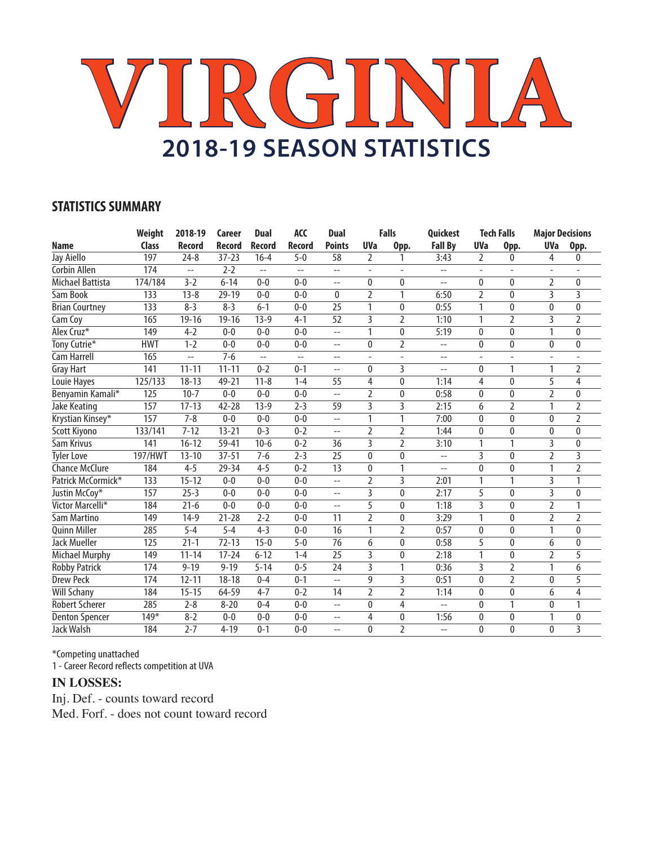# **VIRGINIA 2018-19 SEASON STATISTICS**

## **STATISTICS SUMMARY**

|                       | Weight       | 2018-19        | Career    | <b>Dual</b>    | <b>ACC</b>    | <b>Dual</b>     |                         | <b>Falls</b>   | Quickest                 |                          | <b>Tech Falls</b>        | <b>Major Decisions</b> |                |
|-----------------------|--------------|----------------|-----------|----------------|---------------|-----------------|-------------------------|----------------|--------------------------|--------------------------|--------------------------|------------------------|----------------|
| <b>Name</b>           | <b>Class</b> | Record         | Record    | Record         | <b>Record</b> | <b>Points</b>   | <b>UVa</b>              | Opp.           | <b>Fall By</b>           | <b>UVa</b>               | Opp.                     | <b>UVa</b>             | Opp.           |
| Jay Aiello            | 197          | $24 - 8$       | $37 - 23$ | $16 - 4$       | $5 - 0$       | 58              | $\overline{2}$          | 1              | 3:43                     | 2                        | 0                        | 4                      | 0              |
| Corbin Allen          | 174          | $-$            | $2 - 2$   | $-$            | $-$           | $-$             |                         |                | --                       | $\overline{a}$           | ä,                       |                        |                |
| Michael Battista      | 174/184      | $3 - 2$        | $6 - 14$  | $0 - 0$        | $0 - 0$       | $-$             | $\mathbf{0}$            | 0              | $\overline{\phantom{a}}$ | 0                        | $\mathbf{0}$             | 2                      | $\mathbf{0}$   |
| Sam Book              | 133          | $13 - 8$       | $29 - 19$ | $0 - 0$        | $0 - 0$       | $\mathbf{0}$    | $\overline{2}$          | 1              | 6:50                     | 2                        | $\mathbf{0}$             | 3                      | 3              |
| <b>Brian Courtney</b> | 133          | $8 - 3$        | $8 - 3$   | $6 - 1$        | $0 - 0$       | 25              | 1                       | $\mathbf{0}$   | 0:55                     | 1                        | $\mathbf 0$              | 0                      | $\bf{0}$       |
| Cam Coy               | 165          | $19 - 16$      | $19 - 16$ | $13-9$         | $4 - 1$       | 52              | 3                       | 2              | 1:10                     | 1                        | $\overline{2}$           | 3                      | $\overline{2}$ |
| Alex Cruz*            | 149          | $4 - 2$        | $0 - 0$   | $0 - 0$        | $0 - 0$       | $-$             | 1                       | $\mathbf{0}$   | 5:19                     | 0                        | $\mathbf{0}$             | 1                      | $\bf{0}$       |
| Tony Cutrie*          | <b>HWT</b>   | $1 - 2$        | $0 - 0$   | $0 - 0$        | $0 - 0$       | $-$             | $\Omega$                | 2              | $\overline{a}$           | 0                        | $\mathbf{0}$             | $\mathbf{0}$           | $\mathbf{0}$   |
| Cam Harrell           | 165          | $\overline{a}$ | $7 - 6$   | $\overline{a}$ | $-$           | $-$             |                         |                | $-$                      | $\overline{\phantom{a}}$ | $\overline{\phantom{a}}$ |                        |                |
| <b>Gray Hart</b>      | 141          | $11 - 11$      | $11 - 11$ | $0 - 2$        | $0 - 1$       | $\overline{a}$  | $\mathbf{0}$            | 3              | $-$                      | 0                        | 1                        | 1                      | $\overline{2}$ |
| Louie Hayes           | 125/133      | $18 - 13$      | 49-21     | $11 - 8$       | $1 - 4$       | 55              | 4                       | $\mathbf{0}$   | 1:14                     | 4                        | $\mathbf{0}$             | 5                      | 4              |
| Benyamin Kamali*      | 125          | $10 - 7$       | $0 - 0$   | $0 - 0$        | $0 - 0$       | $\overline{a}$  | $\overline{2}$          | $\mathbf{0}$   | 0:58                     | $\mathbf{0}$             | $\mathbf{0}$             | $\overline{2}$         | $\mathbf{0}$   |
| Jake Keating          | 157          | $17 - 13$      | $42 - 28$ | $13 - 9$       | $2 - 3$       | $\overline{59}$ | $\overline{\mathbf{3}}$ | $\overline{3}$ | 2:15                     | 6                        | $\overline{2}$           | 1                      | $\overline{2}$ |
| Krystian Kinsey*      | 157          | $7 - 8$        | $0 - 0$   | $0 - 0$        | $0 - 0$       | $-$             | 1                       | 1              | 7:00                     | $\mathbf{0}$             | $\pmb{0}$                | 0                      | $\overline{2}$ |
| Scott Kiyono          | 133/141      | $7 - 12$       | $13 - 21$ | $0 - 3$        | $0 - 2$       | $\overline{a}$  | $\overline{2}$          | 2              | 1:44                     | 0                        | $\mathbf 0$              | 0                      | 0              |
| Sam Krivus            | 141          | $16 - 12$      | 59-41     | $10-6$         | $0 - 2$       | 36              | 3                       | $\overline{2}$ | 3:10                     | 1                        | 1                        | 3                      | 0              |
| <b>Tyler Love</b>     | 197/HWT      | $13 - 10$      | $37 - 51$ | $7 - 6$        | $2 - 3$       | $\overline{25}$ | $\theta$                | $\mathbf{0}$   | $-$                      | $\overline{\mathbf{3}}$  | $\mathbf{0}$             | 2                      | $\overline{3}$ |
| <b>Chance McClure</b> | 184          | $4 - 5$        | 29-34     | $4 - 5$        | $0 - 2$       | $\overline{13}$ | 0                       | 1              | $-$                      | 0                        | $\mathbf{0}$             | 1                      | $\overline{2}$ |
| Patrick McCormick*    | 133          | $15 - 12$      | $0 - 0$   | $0 - 0$        | $0 - 0$       | $-$             | 2                       | 3              | 2:01                     | 1                        | 1                        | 3                      | 1              |
| Justin McCoy*         | 157          | $25 - 3$       | $0 - 0$   | $0 - 0$        | $0 - 0$       | $-$             | 3                       | $\mathbf{0}$   | 2:17                     | 5                        | $\mathbf{0}$             | 3                      | $\mathbf{0}$   |
| Victor Marcelli*      | 184          | $21 - 6$       | $0 - 0$   | $0 - 0$        | $0 - 0$       | $-$             | 5                       | $\theta$       | 1:18                     | 3                        | $\mathbf{0}$             | $\overline{2}$         | 1              |
| Sam Martino           | 149          | $14-9$         | $21 - 28$ | $2 - 2$        | $0 - 0$       | 11              | $\overline{2}$          | 0              | 3:29                     | 1                        | $\mathbf{0}$             | $\overline{2}$         | 2              |
| <b>Quinn Miller</b>   | 285          | $5 - 4$        | $5 - 4$   | $4 - 3$        | $0 - 0$       | 16              | 1                       | 2              | 0:57                     | $\mathbf{0}$             | $\mathbf{0}$             | 1                      | 0              |
| <b>Jack Mueller</b>   | 125          | $21 - 1$       | $72 - 13$ | $15 - 0$       | $5 - 0$       | 76              | 6                       | $\mathbf{0}$   | 0:58                     | 5                        | $\mathbf{0}$             | 6                      | $\mathbf{0}$   |
| <b>Michael Murphy</b> | 149          | $11 - 14$      | $17 - 24$ | $6 - 12$       | $1 - 4$       | 25              | 3                       | $\mathbf{0}$   | 2:18                     | 1                        | $\mathbf{0}$             | 2                      | 5              |
| <b>Robby Patrick</b>  | 174          | $9 - 19$       | $9 - 19$  | $5 - 14$       | $0 - 5$       | 24              | 3                       | 1              | 0:36                     | 3                        | 2                        | 1                      | 6              |
| <b>Drew Peck</b>      | 174          | $12 - 11$      | $18 - 18$ | $0 - 4$        | $0 - 1$       | $-$             | 9                       | 3              | 0:51                     | 0                        | 2                        | 0                      | 5              |
| <b>Will Schany</b>    | 184          | $15 - 15$      | 64-59     | $4 - 7$        | $0 - 2$       | 14              | $\overline{2}$          | $\overline{2}$ | 1:14                     | 0                        | $\mathbf{0}$             | 6                      | 4              |
| <b>Robert Scherer</b> | 285          | $2 - 8$        | $8 - 20$  | $0 - 4$        | $0 - 0$       | $\overline{a}$  | 0                       | 4              | $\overline{a}$           | 0                        | 1                        | 0                      | 1              |
| <b>Denton Spencer</b> | $149*$       | $8 - 2$        | $0 - 0$   | $0 - 0$        | $0 - 0$       | $-$             | 4                       | $\mathbf{0}$   | 1:56                     | 0                        | $\mathbf{0}$             | 1                      | $\mathbf{0}$   |
| <b>Jack Walsh</b>     | 184          | $2 - 7$        | $4 - 19$  | $0 - 1$        | $0 - 0$       | $-$             | $\Omega$                | $\overline{2}$ | $\overline{a}$           | 0                        | $\mathbf{0}$             | $\mathbf{0}$           | 3              |

\*Competing unattached

1 - Career Record reflects competition at UVA

### **IN LOSSES:**

Inj. Def. - counts toward record Med. Forf. - does not count toward record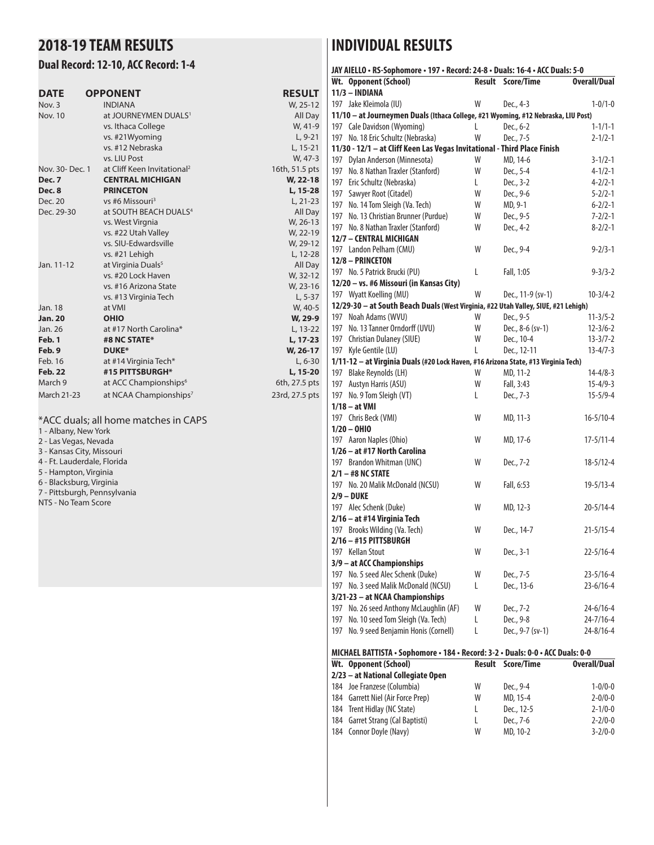## **2018-19 TEAM RESULTS**

#### **Dual Record: 12-10, ACC Record: 1-4**

| <b>DATE</b>        | <b>OPPONENT</b>                         | <b>RESULT</b>  |
|--------------------|-----------------------------------------|----------------|
| Nov. 3             | <b>INDIANA</b>                          | W, 25-12       |
| <b>Nov. 10</b>     | at JOURNEYMEN DUALS <sup>1</sup>        | All Day        |
|                    | vs. Ithaca College                      | W, 41-9        |
|                    | vs. #21Wyoming                          | $L, 9-21$      |
|                    | vs. #12 Nebraska                        | L, 15-21       |
|                    | vs. LIU Post                            | W, 47-3        |
| Nov. 30- Dec. 1    | at Cliff Keen Invitational <sup>2</sup> | 16th, 51.5 pts |
| <b>Dec. 7</b>      | <b>CENTRAL MICHIGAN</b>                 | W, 22-18       |
| Dec. 8             | <b>PRINCETON</b>                        | L, 15-28       |
| Dec. 20            | vs #6 Missouri <sup>3</sup>             | $L, 21-23$     |
| Dec. 29-30         | at SOUTH BEACH DUALS <sup>4</sup>       | All Day        |
|                    | vs. West Virgnia                        | W, 26-13       |
|                    | vs. #22 Utah Valley                     | W, 22-19       |
|                    | vs. SIU-Edwardsville                    | W, 29-12       |
|                    | vs. #21 Lehigh                          | L, 12-28       |
| Jan. 11-12         | at Virginia Duals <sup>5</sup>          | All Day        |
|                    | vs. #20 Lock Haven                      | W, 32-12       |
|                    | vs. #16 Arizona State                   | W, 23-16       |
|                    | vs. #13 Virginia Tech                   | $L, 5-37$      |
| Jan. 18            | at VMI                                  | W, 40-5        |
| <b>Jan. 20</b>     | <b>OHIO</b>                             | W, 29-9        |
| Jan. 26            | at #17 North Carolina*                  | L, 13-22       |
| Feb. 1             | #8 NC STATE*                            | L, 17-23       |
| Feb. 9             | <b>DUKE*</b>                            | W, 26-17       |
| Feb. 16            | at #14 Virginia Tech*                   | $L, 6-30$      |
| <b>Feb. 22</b>     | #15 PITTSBURGH*                         | L, 15-20       |
| March 9            | at ACC Championships <sup>6</sup>       | 6th, 27.5 pts  |
| <b>March 21-23</b> | at NCAA Championships <sup>7</sup>      | 23rd, 27.5 pts |

#### \*ACC duals; all home matches in CAPS

1 - Albany, New York 2 - Las Vegas, Nevada

- 3 Kansas City, Missouri 4 - Ft. Lauderdale, Florida
- 5 Hampton, Virginia
- 6 Blacksburg, Virginia
- 7 Pittsburgh, Pennsylvania
- NTS No Team Score

## **INDIVIDUAL RESULTS**

| JAY AIELLO · RS-Sophomore · 197 · Record: 24-8 · Duals: 16-4 · ACC Duals: 5-0                           |               |                   |                     |
|---------------------------------------------------------------------------------------------------------|---------------|-------------------|---------------------|
| Wt. Opponent (School)                                                                                   | <b>Result</b> | Score/Time        | <b>Overall/Dual</b> |
| $11/3 - INDIANA$                                                                                        |               |                   |                     |
| 197 Jake Kleimola (IU)                                                                                  | W             | Dec., 4-3         | $1 - 0/1 - 0$       |
| 11/10 - at Journeymen Duals (Ithaca College, #21 Wyoming, #12 Nebraska, LIU Post)                       |               |                   |                     |
| 197 Cale Davidson (Wyoming)                                                                             | L             | Dec., 6-2         | $1 - 1/1 - 1$       |
| 197 No. 18 Eric Schultz (Nebraska)                                                                      | W             | Dec., 7-5         | $2 - 1/2 - 1$       |
| 11/30 - 12/1 - at Cliff Keen Las Vegas Invitational - Third Place Finish                                |               |                   |                     |
| 197 Dylan Anderson (Minnesota)                                                                          | W             | MD, 14-6          | $3 - 1/2 - 1$       |
| 197 No. 8 Nathan Traxler (Stanford)                                                                     | W             | Dec., 5-4         | $4 - 1/2 - 1$       |
| 197 Eric Schultz (Nebraska)                                                                             | L             | Dec., 3-2         | $4 - 2/2 - 1$       |
| 197 Sawyer Root (Citadel)                                                                               | W             | Dec., 9-6         | $5 - 2/2 - 1$       |
| 197 No. 14 Tom Sleigh (Va. Tech)                                                                        | W             | MD, 9-1           | $6 - 2/2 - 1$       |
| 197 No. 13 Christian Brunner (Purdue)                                                                   | W             | Dec., 9-5         | $7 - 2/2 - 1$       |
| 197 No. 8 Nathan Traxler (Stanford)                                                                     | W             | Dec., 4-2         | $8 - 2/2 - 1$       |
| 12/7 - CENTRAL MICHIGAN                                                                                 |               |                   |                     |
| 197 Landon Pelham (CMU)                                                                                 | W             | Dec., 9-4         | $9 - 2/3 - 1$       |
| 12/8 - PRINCETON                                                                                        |               |                   |                     |
| 197 No. 5 Patrick Brucki (PU)                                                                           | L             | Fall, 1:05        | $9 - 3/3 - 2$       |
| 12/20 - vs. #6 Missouri (in Kansas City)                                                                |               |                   |                     |
| 197 Wyatt Koelling (MU)                                                                                 | W             | Dec., 11-9 (sv-1) | $10-3/4-2$          |
| 12/29-30 - at South Beach Duals (West Virginia, #22 Utah Valley, SIUE, #21 Lehigh)                      |               |                   |                     |
| 197 Noah Adams (WVU)                                                                                    | W             | Dec., 9-5         | $11 - 3/5 - 2$      |
| 197 No. 13 Tanner Orndorff (UVU)                                                                        | W             | Dec., 8-6 (sv-1)  | $12 - 3/6 - 2$      |
| 197 Christian Dulaney (SIUE)                                                                            | W             | Dec., 10-4        | $13 - 3/7 - 2$      |
| 197 Kyle Gentile (LU)                                                                                   | L             | Dec., 12-11       | $13 - 4/7 - 3$      |
| 1/11-12 - at Virginia Duals (#20 Lock Haven, #16 Arizona State, #13 Virginia Tech)                      |               |                   |                     |
| 197 Blake Reynolds (LH)                                                                                 | W             | MD, 11-2          | $14 - 4/8 - 3$      |
| 197 Austyn Harris (ASU)                                                                                 | W             | Fall, 3:43        | $15 - 4/9 - 3$      |
| 197 No. 9 Tom Sleigh (VT)                                                                               | L             | Dec., 7-3         | $15 - 5/9 - 4$      |
| $1/18 - at$ VMI                                                                                         |               |                   |                     |
| 197 Chris Beck (VMI)                                                                                    | W             | MD, 11-3          | $16 - 5/10 - 4$     |
| $1/20 - 0$ HIO                                                                                          |               |                   |                     |
| 197 Aaron Naples (Ohio)                                                                                 | W             | MD, 17-6          | $17 - 5/11 - 4$     |
| 1/26 - at #17 North Carolina                                                                            |               |                   |                     |
| 197 Brandon Whitman (UNC)                                                                               | W             | Dec., 7-2         | $18 - 5/12 - 4$     |
| $2/1 - #8$ NC STATE                                                                                     |               |                   |                     |
| 197 No. 20 Malik McDonald (NCSU)                                                                        | W             | Fall, 6:53        | $19 - 5/13 - 4$     |
| $2/9 - DUKE$                                                                                            |               |                   |                     |
| 197 Alec Schenk (Duke)                                                                                  | W             | MD, 12-3          | $20 - 5/14 - 4$     |
| 2/16 - at #14 Virginia Tech                                                                             |               |                   |                     |
| 197 Brooks Wilding (Va. Tech)                                                                           | W             | Dec., 14-7        | $21 - 5/15 - 4$     |
| 2/16 - #15 PITTSBURGH                                                                                   |               |                   |                     |
| 197 Kellan Stout                                                                                        | W             | Dec., 3-1         | $22 - 5/16 - 4$     |
| 3/9 - at ACC Championships                                                                              |               |                   |                     |
| 197 No. 5 seed Alec Schenk (Duke)                                                                       | W             | Dec., 7-5         | $23 - 5/16 - 4$     |
| 197 No. 3 seed Malik McDonald (NCSU)                                                                    | L             | Dec., 13-6        | $23 - 6/16 - 4$     |
| 3/21-23 - at NCAA Championships                                                                         |               |                   |                     |
| 197 No. 26 seed Anthony McLaughlin (AF)                                                                 | W             | Dec., 7-2         | $24 - 6/16 - 4$     |
| 197 No. 10 seed Tom Sleigh (Va. Tech)                                                                   | L             | Dec., 9-8         | $24 - 7/16 - 4$     |
| No. 9 seed Benjamin Honis (Cornell)<br>197                                                              | L             | Dec., 9-7 (sv-1)  | $24 - 8/16 - 4$     |
|                                                                                                         |               |                   |                     |
| MICHAEL BATTISTA · Sophomore · 184 · Record: 3-2 · Duals: 0-0 · ACC Duals: 0-0<br>Wt. Opponent (School) | <b>Result</b> | Score/Time        | <b>Overall/Dual</b> |
| 2/23 - at National Collegiate Open                                                                      |               |                   |                     |
| 184 Joe Franzese (Columbia)                                                                             | W             | Dec., 9-4         | $1 - 0/0 - 0$       |
| 184 Garrett Niel (Air Force Prep)                                                                       | W             | MD, 15-4          | $2 - 0/0 - 0$       |
| 184 Trent Hidlay (NC State)                                                                             | L             | Dec., 12-5        | $2 - 1/0 - 0$       |
| 184 Garret Strang (Cal Baptisti)                                                                        | Г             | Dec., 7-6         | $2 - 2/0 - 0$       |
| 184 Connor Doyle (Navy)                                                                                 | W             | MD, 10-2          | $3 - 2/0 - 0$       |
|                                                                                                         |               |                   |                     |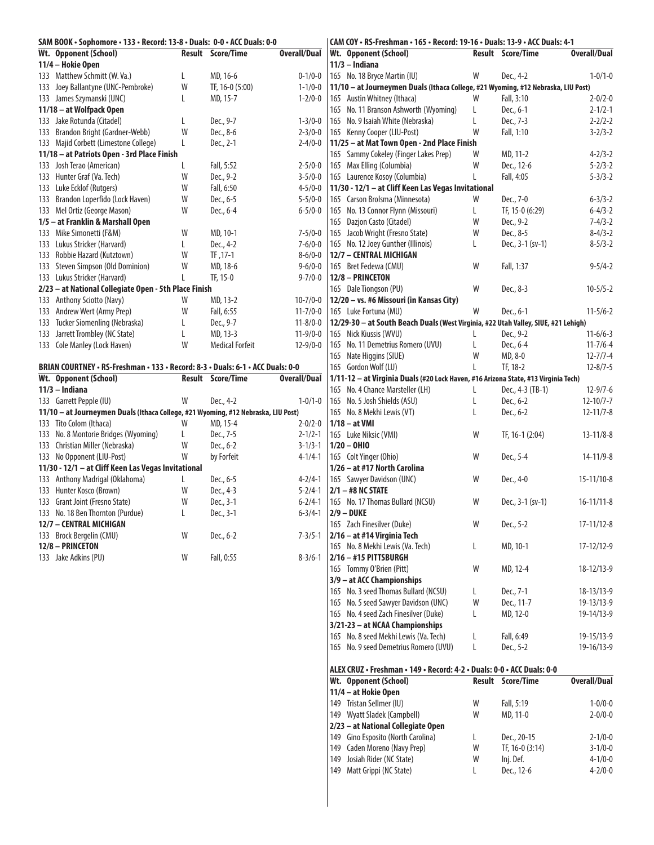| SAM BOOK · Sophomore · 133 · Record: 13-8 · Duals: 0-0 · ACC Duals: 0-0           |   |                          |                     |     | CAM COY . RS-Freshman . 165 . Record: 19-16 . Duals: 13-9 . ACC Duals: 4-1         |    |                          |                     |
|-----------------------------------------------------------------------------------|---|--------------------------|---------------------|-----|------------------------------------------------------------------------------------|----|--------------------------|---------------------|
| Wt. Opponent (School)                                                             |   | Result Score/Time        | <b>Overall/Dual</b> |     | Wt. Opponent (School)                                                              |    | Result Score/Time        | <b>Overall/Dual</b> |
| 11/4 - Hokie Open                                                                 |   |                          |                     |     | $11/3$ - Indiana                                                                   |    |                          |                     |
| 133 Matthew Schmitt (W. Va.)                                                      | L | MD, 16-6                 | $0 - 1/0 - 0$       |     | 165 No. 18 Bryce Martin (IU)                                                       | W  | Dec., 4-2                | $1 - 0/1 - 0$       |
| 133 Joey Ballantyne (UNC-Pembroke)                                                | W | TF, 16-0 (5:00)          | $1 - 1/0 - 0$       |     | 11/10 - at Journeymen Duals (Ithaca College, #21 Wyoming, #12 Nebraska, LIU Post)  |    |                          |                     |
| 133 James Szymanski (UNC)                                                         | L | MD, 15-7                 | $1 - 2/0 - 0$       |     | 165 Austin Whitney (Ithaca)                                                        | W  | Fall, 3:10               | $2 - 0/2 - 0$       |
| 11/18 - at Wolfpack Open                                                          |   |                          |                     |     | 165 No. 11 Branson Ashworth (Wyoming)                                              | L  | Dec., 6-1                | $2 - 1/2 - 1$       |
| 133 Jake Rotunda (Citadel)                                                        | L | Dec., 9-7                | $1 - 3/0 - 0$       |     | 165 No. 9 Isaiah White (Nebraska)                                                  | L  | Dec., 7-3                | $2 - 2/2 - 2$       |
| 133 Brandon Bright (Gardner-Webb)                                                 | W | Dec., 8-6                | $2 - 3/0 - 0$       |     | 165 Kenny Cooper (LIU-Post)                                                        | W  | Fall, 1:10               | $3 - 2/3 - 2$       |
| 133 Majid Corbett (Limestone College)                                             | L | Dec., 2-1                | $2 - 4/0 - 0$       |     | 11/25 - at Mat Town Open - 2nd Place Finish                                        |    |                          |                     |
| 11/18 - at Patriots Open - 3rd Place Finish                                       |   |                          |                     |     | 165 Sammy Cokeley (Finger Lakes Prep)                                              | W  | MD, 11-2                 | $4 - 2/3 - 2$       |
| 133 Josh Terao (American)                                                         | L | Fall, 5:52               | $2 - 5/0 - 0$       |     | 165 Max Elling (Columbia)                                                          | W  | Dec., 12-6               | $5 - 2/3 - 2$       |
| 133 Hunter Graf (Va. Tech)                                                        | W | Dec., 9-2                | $3 - 5/0 - 0$       |     | 165 Laurence Kosoy (Columbia)                                                      | L  | Fall, 4:05               | $5 - 3/3 - 2$       |
| 133 Luke Ecklof (Rutgers)                                                         | W | Fall, 6:50               | $4 - 5/0 - 0$       |     | 11/30 - 12/1 - at Cliff Keen Las Vegas Invitational                                |    |                          |                     |
| 133 Brandon Loperfido (Lock Haven)                                                | W | Dec., 6-5                | $5 - 5/0 - 0$       |     | 165 Carson Brolsma (Minnesota)                                                     | W  | Dec., 7-0                | $6 - 3/3 - 2$       |
| 133 Mel Ortiz (George Mason)                                                      | W | Dec., 6-4                | $6 - 5/0 - 0$       |     | 165 No. 13 Connor Flynn (Missouri)                                                 | L  | TF, 15-0 (6:29)          | $6 - 4/3 - 2$       |
| 1/5 - at Franklin & Marshall Open                                                 |   |                          |                     |     | 165 Dazjon Casto (Citadel)                                                         | W  | Dec., 9-2                | $7 - 4/3 - 2$       |
| 133 Mike Simonetti (F&M)                                                          | W | MD, 10-1                 | $7 - 5/0 - 0$       |     | 165 Jacob Wright (Fresno State)                                                    | W  | Dec., 8-5                | $8-4/3-2$           |
| 133 Lukus Stricker (Harvard)                                                      | L | Dec., 4-2                | $7 - 6/0 - 0$       |     | 165 No. 12 Joey Gunther (Illinois)                                                 | L  | Dec., 3-1 (sv-1)         | $8 - 5/3 - 2$       |
| 133 Robbie Hazard (Kutztown)                                                      | W | TF, 17-1                 | $8 - 6/0 - 0$       |     | 12/7 - CENTRAL MICHIGAN                                                            |    |                          |                     |
| 133 Steven Simpson (Old Dominion)                                                 | W | MD, 18-6                 | $9 - 6/0 - 0$       |     | 165 Bret Fedewa (CMU)                                                              | W  | Fall, 1:37               | $9 - 5/4 - 2$       |
| 133 Lukus Stricker (Harvard)                                                      | L | TF, 15-0                 | $9 - 7/0 - 0$       |     | 12/8 - PRINCETON                                                                   |    |                          |                     |
| 2/23 - at National Collegiate Open - 5th Place Finish                             |   |                          |                     |     | 165 Dale Tiongson (PU)                                                             | W  | Dec., 8-3                | $10 - 5/5 - 2$      |
| 133 Anthony Sciotto (Navy)                                                        | W | MD, 13-2                 | $10 - 7/0 - 0$      |     | 12/20 - vs. #6 Missouri (in Kansas City)                                           |    |                          |                     |
| 133 Andrew Wert (Army Prep)                                                       | W | Fall, 6:55               | $11 - 7/0 - 0$      |     | 165 Luke Fortuna (MU)                                                              | W  | Dec., 6-1                | $11 - 5/6 - 2$      |
| 133 Tucker Siomenling (Nebraska)                                                  | L | Dec., 9-7                | $11 - 8/0 - 0$      |     | 12/29-30 - at South Beach Duals (West Virginia, #22 Utah Valley, SIUE, #21 Lehigh) |    |                          |                     |
|                                                                                   |   |                          | $11-9/0-0$          |     |                                                                                    |    | Dec., 9-2                |                     |
| 133 Jarrett Trombley (NC State)                                                   | L | MD, 13-3                 |                     |     | 165 Nick Kiussis (WVU)                                                             |    |                          | $11-6/6-3$          |
| 133 Cole Manley (Lock Haven)                                                      | W | <b>Medical Forfeit</b>   | $12 - 9/0 - 0$      |     | 165 No. 11 Demetrius Romero (UVU)                                                  | L  | Dec., 6-4                | $11 - 7/6 - 4$      |
|                                                                                   |   |                          |                     |     | 165 Nate Higgins (SIUE)                                                            | W  | MD, 8-0                  | $12 - 7/7 - 4$      |
| BRIAN COURTNEY · RS-Freshman · 133 · Record: 8-3 · Duals: 6-1 · ACC Duals: 0-0    |   |                          |                     |     | 165 Gordon Wolf (LU)                                                               | L  | TF, 18-2                 | $12 - 8/7 - 5$      |
| Wt. Opponent (School)                                                             |   | <b>Result Score/Time</b> | <b>Overall/Dual</b> |     | 1/11-12 - at Virginia Duals (#20 Lock Haven, #16 Arizona State, #13 Virginia Tech) |    |                          |                     |
| $11/3$ - Indiana                                                                  |   |                          |                     |     | 165 No. 4 Chance Marsteller (LH)                                                   | L  | Dec., 4-3 (TB-1)         | $12 - 9/7 - 6$      |
| 133 Garrett Pepple (IU)                                                           | W | Dec., 4-2                | $1 - 0/1 - 0$       |     | 165 No. 5 Josh Shields (ASU)                                                       | L  | Dec., 6-2                | $12 - 10/7 - 7$     |
| 11/10 - at Journeymen Duals (Ithaca College, #21 Wyoming, #12 Nebraska, LIU Post) |   |                          |                     |     | 165 No. 8 Mekhi Lewis (VT)                                                         | L  | Dec., 6-2                | $12 - 11/7 - 8$     |
| 133 Tito Colom (Ithaca)                                                           | W | MD, 15-4                 | $2 - 0/2 - 0$       |     | $1/18 - at$ VMI                                                                    |    |                          |                     |
| 133 No. 8 Montorie Bridges (Wyoming)                                              | L | Dec., 7-5                | $2 - 1/2 - 1$       |     | 165 Luke Niksic (VMI)                                                              | W  | TF, 16-1 (2:04)          | $13 - 11/8 - 8$     |
| 133 Christian Miller (Nebraska)                                                   | W | Dec., 6-2                | $3 - 1/3 - 1$       |     | $1/20 - 0$ HIO                                                                     |    |                          |                     |
| 133 No Opponent (LIU-Post)                                                        | W | by Forfeit               | $4 - 1/4 - 1$       |     | 165 Colt Yinger (Ohio)                                                             | W  | Dec., 5-4                | 14-11/9-8           |
| 11/30 - 12/1 - at Cliff Keen Las Vegas Invitational                               |   |                          |                     |     | 1/26 – at #17 North Carolina                                                       |    |                          |                     |
| 133 Anthony Madrigal (Oklahoma)                                                   | L | Dec., 6-5                | $4 - 2/4 - 1$       |     | 165 Sawyer Davidson (UNC)                                                          | W  | Dec., 4-0                | 15-11/10-8          |
| 133 Hunter Kosco (Brown)                                                          | W | Dec., 4-3                | $5 - 2/4 - 1$       |     | $2/1 - #8$ NC STATE                                                                |    |                          |                     |
| 133 Grant Joint (Fresno State)                                                    | W | Dec., 3-1                | $6 - 2/4 - 1$       |     | 165 No. 17 Thomas Bullard (NCSU)                                                   | W  | Dec., 3-1 (sv-1)         | $16 - 11/11 - 8$    |
| 133 No. 18 Ben Thornton (Purdue)                                                  | L | Dec., 3-1                | $6 - 3/4 - 1$       |     | $2/9 - DUKE$                                                                       |    |                          |                     |
| 12/7 - CENTRAL MICHIGAN                                                           |   |                          |                     |     | 165 Zach Finesilver (Duke)                                                         | W  | Dec., 5-2                | $17 - 11/12 - 8$    |
| 133 Brock Bergelin (CMU)                                                          | W | Dec., 6-2                | $7 - 3/5 - 1$       |     | 2/16 - at #14 Virginia Tech                                                        |    |                          |                     |
| 12/8 - PRINCETON                                                                  |   |                          |                     |     | 165 No. 8 Mekhi Lewis (Va. Tech)                                                   | L  | MD, 10-1                 | 17-12/12-9          |
| 133 Jake Adkins (PU)                                                              | W | Fall, 0:55               | $8 - 3/6 - 1$       |     | $2/16 - #15$ PITTSBURGH                                                            |    |                          |                     |
|                                                                                   |   |                          |                     |     | 165 Tommy O'Brien (Pitt)                                                           | W  | MD, 12-4                 | 18-12/13-9          |
|                                                                                   |   |                          |                     |     | 3/9 - at ACC Championships                                                         |    |                          |                     |
|                                                                                   |   |                          |                     |     | 165 No. 3 seed Thomas Bullard (NCSU)                                               | L  | Dec., 7-1                | 18-13/13-9          |
|                                                                                   |   |                          |                     |     | 165 No. 5 seed Sawyer Davidson (UNC)                                               | W  | Dec., 11-7               | 19-13/13-9          |
|                                                                                   |   |                          |                     |     | 165 No. 4 seed Zach Finesilver (Duke)                                              | L  | MD, 12-0                 | 19-14/13-9          |
|                                                                                   |   |                          |                     |     | 3/21-23 - at NCAA Championships                                                    |    |                          |                     |
|                                                                                   |   |                          |                     |     | 165 No. 8 seed Mekhi Lewis (Va. Tech)                                              | L  | Fall, 6:49               | 19-15/13-9          |
|                                                                                   |   |                          |                     |     | 165 No. 9 seed Demetrius Romero (UVU)                                              | L  | Dec., 5-2                | 19-16/13-9          |
|                                                                                   |   |                          |                     |     |                                                                                    |    |                          |                     |
|                                                                                   |   |                          |                     |     | ALEX CRUZ · Freshman · 149 · Record: 4-2 · Duals: 0-0 · ACC Duals: 0-0             |    |                          |                     |
|                                                                                   |   |                          |                     |     | Wt. Opponent (School)                                                              |    | <b>Result Score/Time</b> | <b>Overall/Dual</b> |
|                                                                                   |   |                          |                     |     |                                                                                    |    |                          |                     |
|                                                                                   |   |                          |                     |     | 11/4 - at Hokie Open                                                               |    |                          |                     |
|                                                                                   |   |                          |                     |     | 149 Tristan Sellmer (IU)                                                           | W  | Fall, 5:19               | $1 - 0/0 - 0$       |
|                                                                                   |   |                          |                     |     | 149 Wyatt Sladek (Campbell)                                                        | W  | MD, 11-0                 | $2 - 0/0 - 0$       |
|                                                                                   |   |                          |                     |     | 2/23 - at National Collegiate Open                                                 |    |                          |                     |
|                                                                                   |   |                          |                     |     | 149 Gino Esposito (North Carolina)                                                 | L. | Dec., 20-15              | $2 - 1/0 - 0$       |
|                                                                                   |   |                          |                     |     | 149 Caden Moreno (Navy Prep)                                                       | W  | TF, 16-0 (3:14)          | $3 - 1/0 - 0$       |
|                                                                                   |   |                          |                     | 149 | Josiah Rider (NC State)                                                            | W  | Inj. Def.                | $4 - 1/0 - 0$       |
|                                                                                   |   |                          |                     |     | 149 Matt Grippi (NC State)                                                         | L  | Dec., 12-6               | $4 - 2/0 - 0$       |
|                                                                                   |   |                          |                     |     |                                                                                    |    |                          |                     |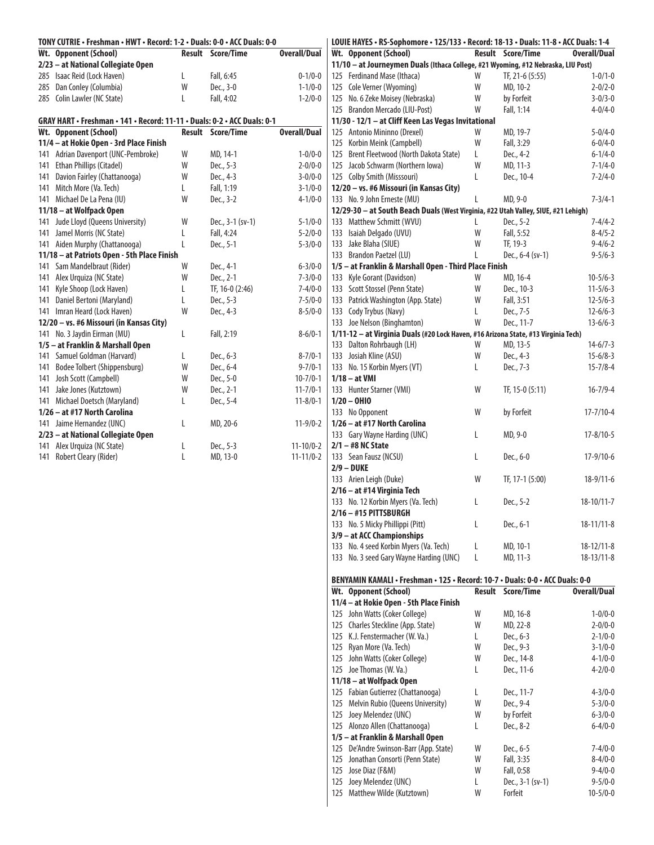| TONY CUTRIE • Freshman • HWT • Record: 1-2 • Duals: 0-0 • ACC Duals: 0-0 |        |                          |                     | LOUIE HAYES · RS-Sophomore · 125/133 · Record: 18-13 · Duals: 11-8 · ACC Duals: 1-4 |   |                          |                     |
|--------------------------------------------------------------------------|--------|--------------------------|---------------------|-------------------------------------------------------------------------------------|---|--------------------------|---------------------|
| Wt. Opponent (School)                                                    |        | <b>Result Score/Time</b> | <b>Overall/Dual</b> | Wt. Opponent (School)                                                               |   | <b>Result Score/Time</b> | Overall/Dual        |
| 2/23 - at National Collegiate Open                                       |        |                          |                     | 11/10 - at Journeymen Duals (Ithaca College, #21 Wyoming, #12 Nebraska, LIU Post)   |   |                          |                     |
| 285 Isaac Reid (Lock Haven)                                              | L      | Fall, 6:45               | $0 - 1/0 - 0$       | 125 Ferdinand Mase (Ithaca)                                                         | W | TF, 21-6 (5:55)          | $1 - 0/1 - 0$       |
| 285 Dan Conley (Columbia)                                                | W      | Dec., 3-0                | $1 - 1/0 - 0$       | 125 Cole Verner (Wyoming)                                                           | W | MD, 10-2                 | $2 - 0/2 - 0$       |
| 285 Colin Lawler (NC State)                                              | L      | Fall, 4:02               | $1 - 2/0 - 0$       | 125 No. 6 Zeke Moisey (Nebraska)                                                    | W | by Forfeit               | $3 - 0/3 - 0$       |
|                                                                          |        |                          |                     | 125 Brandon Mercado (LIU-Post)                                                      | W | Fall, 1:14               | $4 - 0/4 - 0$       |
| GRAY HART • Freshman • 141 • Record: 11-11 • Duals: 0-2 • ACC Duals: 0-1 |        |                          |                     | 11/30 - 12/1 - at Cliff Keen Las Vegas Invitational                                 |   |                          |                     |
| Wt. Opponent (School)                                                    |        | <b>Result Score/Time</b> | <b>Overall/Dual</b> | 125 Antonio Mininno (Drexel)                                                        | W | MD, 19-7                 | $5 - 0/4 - 0$       |
| 11/4 - at Hokie Open - 3rd Place Finish                                  |        |                          |                     | 125 Korbin Meink (Campbell)                                                         | W | Fall, 3:29               | $6 - 0/4 - 0$       |
| 141 Adrian Davenport (UNC-Pembroke)                                      | W      | MD, 14-1                 | $1 - 0/0 - 0$       | 125 Brent Fleetwood (North Dakota State)                                            | L | Dec., 4-2                | $6 - 1/4 - 0$       |
| 141 Ethan Phillips (Citadel)                                             | W      | Dec., 5-3                | $2 - 0/0 - 0$       | 125 Jacob Schwarm (Northern Iowa)                                                   | W | MD, 11-3                 | $7 - 1/4 - 0$       |
| 141 Davion Fairley (Chattanooga)                                         | W      | Dec., 4-3                | $3 - 0/0 - 0$       | 125 Colby Smith (Misssouri)                                                         | L | Dec., 10-4               | $7 - 2/4 - 0$       |
| 141 Mitch More (Va. Tech)                                                | L      | Fall, 1:19               | $3 - 1/0 - 0$       | 12/20 - vs. #6 Missouri (in Kansas City)                                            |   |                          |                     |
| 141 Michael De La Pena (IU)                                              | W      | Dec., 3-2                | $4 - 1/0 - 0$       | 133 No. 9 John Erneste (MU)                                                         | L | MD, 9-0                  | $7 - 3/4 - 1$       |
| 11/18 - at Wolfpack Open                                                 |        |                          |                     | 12/29-30 - at South Beach Duals (West Virginia, #22 Utah Valley, SIUE, #21 Lehigh)  |   |                          |                     |
| 141 Jude Lloyd (Queens University)                                       | W      | Dec., 3-1 (sv-1)         | $5 - 1/0 - 0$       | 133 Matthew Schmitt (WVU)                                                           | L | Dec., 5-2                | $7 - 4/4 - 2$       |
| 141 Jamel Morris (NC State)                                              | L      | Fall, 4:24               | $5 - 2/0 - 0$       | 133 Isaiah Delgado (UVU)                                                            | W | Fall, 5:52               | $8-4/5-2$           |
| 141 Aiden Murphy (Chattanooga)                                           | L      | Dec., 5-1                | $5 - 3/0 - 0$       | 133 Jake Blaha (SIUE)                                                               | W | TF, 19-3                 | $9 - 4/6 - 2$       |
| 11/18 - at Patriots Open - 5th Place Finish                              |        |                          |                     | 133 Brandon Paetzel (LU)                                                            | L | Dec., 6-4 (sv-1)         | $9 - 5/6 - 3$       |
| 141 Sam Mandelbraut (Rider)                                              | W      | Dec., 4-1                | $6 - 3/0 - 0$       | 1/5 - at Franklin & Marshall Open - Third Place Finish                              |   |                          |                     |
| 141 Alex Urquiza (NC State)                                              | W      | Dec., 2-1                | $7 - 3/0 - 0$       | 133 Kyle Gorant (Davidson)                                                          | W | MD, 16-4                 | $10-5/6-3$          |
| 141 Kyle Shoop (Lock Haven)                                              | L      | TF, 16-0 (2:46)          | $7 - 4/0 - 0$       | 133 Scott Stossel (Penn State)                                                      | W | Dec., 10-3               | $11-5/6-3$          |
| 141 Daniel Bertoni (Maryland)                                            | L      | Dec., 5-3                | $7 - 5/0 - 0$       | 133 Patrick Washington (App. State)                                                 | W | Fall, 3:51               | $12 - 5/6 - 3$      |
| 141 Imran Heard (Lock Haven)                                             | W      | Dec., 4-3                | $8 - 5/0 - 0$       | 133 Cody Trybus (Navy)                                                              | L | Dec., 7-5                | $12 - 6/6 - 3$      |
| 12/20 - vs. #6 Missouri (in Kansas City)                                 |        |                          |                     | 133 Joe Nelson (Binghamton)                                                         | W | Dec., 11-7               | $13 - 6/6 - 3$      |
| 141 No. 3 Jaydin Eirman (MU)                                             | L      | Fall, 2:19               | $8 - 6/0 - 1$       | 1/11-12 - at Virginia Duals (#20 Lock Haven, #16 Arizona State, #13 Virginia Tech)  |   |                          |                     |
| 1/5 - at Franklin & Marshall Open                                        |        |                          |                     | 133 Dalton Rohrbaugh (LH)                                                           | W | MD, 13-5                 | $14-6/7-3$          |
| 141 Samuel Goldman (Harvard)                                             | L      | Dec., 6-3                | $8 - 7/0 - 1$       | 133 Josiah Kline (ASU)                                                              | W | Dec., 4-3                | $15 - 6/8 - 3$      |
| 141 Bodee Tolbert (Shippensburg)                                         | W      | Dec., 6-4                | $9 - 7/0 - 1$       | 133 No. 15 Korbin Myers (VT)                                                        | L | Dec., 7-3                | $15 - 7/8 - 4$      |
| 141 Josh Scott (Campbell)                                                | W      | Dec., 5-0                | $10 - 7/0 - 1$      | $1/18 - at$ VMI                                                                     |   |                          |                     |
| 141 Jake Jones (Kutztown)                                                | W      | Dec., 2-1                | $11 - 7/0 - 1$      | 133 Hunter Starner (VMI)                                                            | W | TF, 15-0 (5:11)          | $16 - 7/9 - 4$      |
| 141 Michael Doetsch (Maryland)                                           | L      | Dec., 5-4                | $11 - 8/0 - 1$      | $1/20 - 0H10$                                                                       |   |                          |                     |
| 1/26 - at #17 North Carolina                                             |        |                          |                     | 133 No Opponent                                                                     | W | by Forfeit               | $17 - 7/10 - 4$     |
| 141 Jaime Hernandez (UNC)                                                | L      | MD, 20-6                 | $11-9/0-2$          | 1/26 - at #17 North Carolina                                                        |   |                          |                     |
|                                                                          |        |                          |                     | 133 Gary Wayne Harding (UNC)                                                        | L | MD, 9-0                  | $17 - 8/10 - 5$     |
| 2/23 - at National Collegiate Open<br>141 Alex Urquiza (NC State)        |        | Dec., 5-3                | $11 - 10/0 - 2$     | $2/1 - #8$ NC State                                                                 |   |                          |                     |
|                                                                          | L<br>L |                          |                     |                                                                                     | L |                          | $17-9/10-6$         |
| 141 Robert Cleary (Rider)                                                |        | MD, 13-0                 | $11 - 11/0 - 2$     | 133 Sean Fausz (NCSU)                                                               |   | Dec., 6-0                |                     |
|                                                                          |        |                          |                     | $2/9 - DUKE$                                                                        |   |                          | $18-9/11-6$         |
|                                                                          |        |                          |                     | 133 Arien Leigh (Duke)                                                              | W | TF, 17-1 (5:00)          |                     |
|                                                                          |        |                          |                     | 2/16 - at #14 Virginia Tech                                                         |   |                          |                     |
|                                                                          |        |                          |                     | 133 No. 12 Korbin Myers (Va. Tech)                                                  | L | Dec., 5-2                | $18-10/11-7$        |
|                                                                          |        |                          |                     | 2/16 - #15 PITTSBURGH                                                               |   |                          |                     |
|                                                                          |        |                          |                     | 133 No. 5 Micky Phillippi (Pitt)                                                    | L | Dec., 6-1                | $18 - 11/11 - 8$    |
|                                                                          |        |                          |                     | 3/9 - at ACC Championships                                                          |   |                          |                     |
|                                                                          |        |                          |                     | 133 No. 4 seed Korbin Myers (Va. Tech)                                              | L | MD, 10-1                 | $18 - 12/11 - 8$    |
|                                                                          |        |                          |                     | 133 No. 3 seed Gary Wayne Harding (UNC)                                             | L | MD, 11-3                 | $18 - 13/11 - 8$    |
|                                                                          |        |                          |                     |                                                                                     |   |                          |                     |
|                                                                          |        |                          |                     | BENYAMIN KAMALI · Freshman · 125 · Record: 10-7 · Duals: 0-0 · ACC Duals: 0-0       |   |                          |                     |
|                                                                          |        |                          |                     | Wt. Opponent (School)                                                               |   | <b>Result Score/Time</b> | <b>Overall/Dual</b> |
|                                                                          |        |                          |                     | 11/4 - at Hokie Open - 5th Place Finish                                             |   |                          |                     |
|                                                                          |        |                          |                     | 125 John Watts (Coker College)                                                      | W | MD, 16-8                 | $1 - 0/0 - 0$       |
|                                                                          |        |                          |                     | 125 Charles Steckline (App. State)                                                  | W | MD, 22-8                 | $2 - 0/0 - 0$       |
|                                                                          |        |                          |                     | 125 K.J. Fenstermacher (W. Va.)                                                     | L | Dec., 6-3                | $2 - 1/0 - 0$       |
|                                                                          |        |                          |                     | 125 Ryan More (Va. Tech)                                                            | W | Dec., 9-3                | $3 - 1/0 - 0$       |
|                                                                          |        |                          |                     | 125 John Watts (Coker College)                                                      | W | Dec., 14-8               | $4 - 1/0 - 0$       |
|                                                                          |        |                          |                     | 125 Joe Thomas (W. Va.)                                                             | L | Dec., 11-6               | $4 - 2/0 - 0$       |
|                                                                          |        |                          |                     | 11/18 - at Wolfpack Open                                                            |   |                          |                     |
|                                                                          |        |                          |                     | 125 Fabian Gutierrez (Chattanooga)                                                  | L | Dec., 11-7               | $4 - 3/0 - 0$       |
|                                                                          |        |                          |                     | 125 Melvin Rubio (Queens University)                                                | W | Dec., 9-4                | $5 - 3/0 - 0$       |
|                                                                          |        |                          |                     | 125 Joey Melendez (UNC)                                                             | W | by Forfeit               | $6 - 3/0 - 0$       |
|                                                                          |        |                          |                     | 125 Alonzo Allen (Chattanooga)                                                      | L | Dec., 8-2                | $6 - 4/0 - 0$       |
|                                                                          |        |                          |                     | 1/5 - at Franklin & Marshall Open                                                   |   |                          |                     |
|                                                                          |        |                          |                     | 125 De'Andre Swinson-Barr (App. State)                                              | W | Dec., 6-5                | $7 - 4/0 - 0$       |
|                                                                          |        |                          |                     | 125 Jonathan Consorti (Penn State)                                                  | W | Fall, 3:35               | $8-4/0-0$           |
|                                                                          |        |                          |                     | 125 Jose Diaz (F&M)                                                                 | W | Fall, 0:58               | $9 - 4/0 - 0$       |
|                                                                          |        |                          |                     | 125 Joey Melendez (UNC)                                                             | L | Dec., 3-1 (sv-1)         | $9 - 5/0 - 0$       |
|                                                                          |        |                          |                     | 125 Matthew Wilde (Kutztown)                                                        | W | Forfeit                  | $10-5/0-0$          |
|                                                                          |        |                          |                     |                                                                                     |   |                          |                     |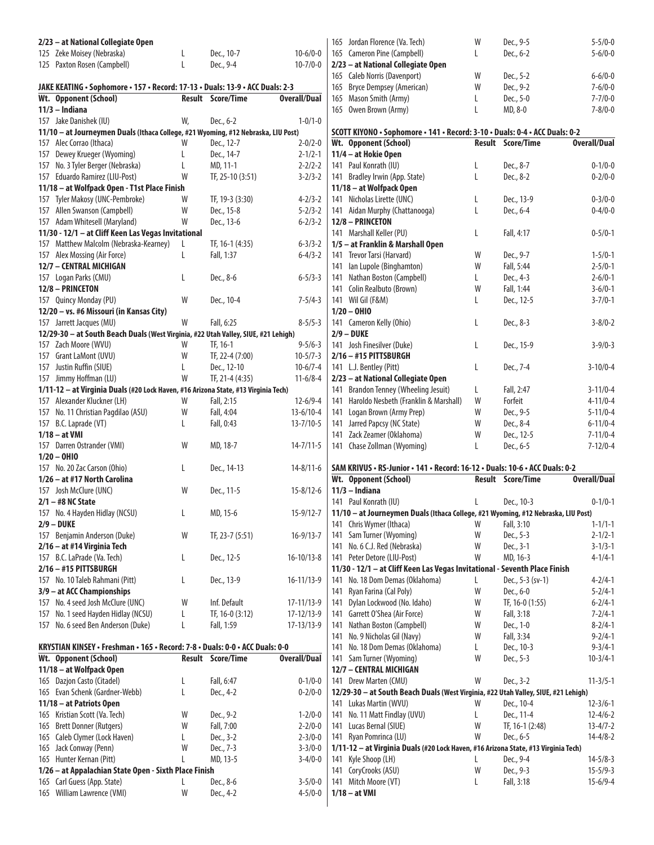| 2/23 - at National Collegiate Open                                                                            |        |                         |                                |     | 165 Jordan Florence (Va. Tech)                                                                       | W      | Dec., 9-5                | $5 - 5/0 - 0$                    |
|---------------------------------------------------------------------------------------------------------------|--------|-------------------------|--------------------------------|-----|------------------------------------------------------------------------------------------------------|--------|--------------------------|----------------------------------|
| 125 Zeke Moisey (Nebraska)                                                                                    | L      | Dec., 10-7              | $10-6/0-0$                     |     | 165 Cameron Pine (Campbell)                                                                          | L      | Dec., 6-2                | $5 - 6/0 - 0$                    |
| 125 Paxton Rosen (Campbell)                                                                                   | L      | Dec., 9-4               | $10 - 7/0 - 0$                 |     | 2/23 - at National Collegiate Open                                                                   |        |                          |                                  |
|                                                                                                               |        |                         |                                |     | 165 Caleb Norris (Davenport)                                                                         | W      | Dec., 5-2                | $6 - 6/0 - 0$                    |
| JAKE KEATING . Sophomore . 157 . Record: 17-13 . Duals: 13-9 . ACC Duals: 2-3                                 |        |                         |                                | 165 | Bryce Dempsey (American)                                                                             | W      | Dec., 9-2                | $7 - 6/0 - 0$                    |
| Wt. Opponent (School)                                                                                         |        | Result Score/Time       | <b>Overall/Dual</b>            | 165 | Mason Smith (Army)                                                                                   | L      | Dec., 5-0                | $7 - 7/0 - 0$                    |
| $11/3$ - Indiana                                                                                              |        |                         |                                |     | 165 Owen Brown (Army)                                                                                | L      | MD, 8-0                  | $7 - 8/0 - 0$                    |
| 157 Jake Danishek (IU)                                                                                        | W,     | Dec., 6-2               | $1 - 0/1 - 0$                  |     |                                                                                                      |        |                          |                                  |
| 11/10 - at Journeymen Duals (Ithaca College, #21 Wyoming, #12 Nebraska, LIU Post)<br>157 Alec Corrao (Ithaca) | W      | Dec., 12-7              | $2 - 0/2 - 0$                  |     | SCOTT KIYONO · Sophomore · 141 · Record: 3-10 · Duals: 0-4 · ACC Duals: 0-2<br>Wt. Opponent (School) |        | <b>Result Score/Time</b> | <b>Overall/Dual</b>              |
| 157 Dewey Krueger (Wyoming)                                                                                   | L      | Dec., 14-7              | $2 - 1/2 - 1$                  |     | 11/4 - at Hokie Open                                                                                 |        |                          |                                  |
| 157 No. 3 Tyler Berger (Nebraska)                                                                             | L      | MD, 11-1                | $2 - 2/2 - 2$                  |     | 141 Paul Konrath (IU)                                                                                | L      | Dec., 8-7                | $0 - 1/0 - 0$                    |
| 157 Eduardo Ramirez (LIU-Post)                                                                                | W      | TF, 25-10 (3:51)        | $3 - 2/3 - 2$                  |     | 141 Bradley Irwin (App. State)                                                                       | L      | Dec., 8-2                | $0 - 2/0 - 0$                    |
| 11/18 - at Wolfpack Open - T1st Place Finish                                                                  |        |                         |                                |     | 11/18 - at Wolfpack Open                                                                             |        |                          |                                  |
| 157 Tyler Makosy (UNC-Pembroke)                                                                               | W      | TF, 19-3 (3:30)         | $4 - 2/3 - 2$                  |     | 141 Nicholas Lirette (UNC)                                                                           | L      | Dec., 13-9               | $0 - 3/0 - 0$                    |
| 157 Allen Swanson (Campbell)                                                                                  | W      | Dec., 15-8              | $5 - 2/3 - 2$                  |     | 141 Aidan Murphy (Chattanooga)                                                                       | L      | Dec., 6-4                | $0 - 4/0 - 0$                    |
| 157 Adam Whitesell (Maryland)                                                                                 | W      | Dec., 13-6              | $6 - 2/3 - 2$                  |     | 12/8 - PRINCETON                                                                                     |        |                          |                                  |
| 11/30 - 12/1 - at Cliff Keen Las Vegas Invitational                                                           |        |                         |                                |     | 141 Marshall Keller (PU)                                                                             | L      | Fall, 4:17               | $0 - 5/0 - 1$                    |
| 157 Matthew Malcolm (Nebraska-Kearney)                                                                        |        | TF, 16-1 (4:35)         | $6 - 3/3 - 2$                  |     | 1/5 - at Franklin & Marshall Open                                                                    |        |                          |                                  |
| 157 Alex Mossing (Air Force)                                                                                  | L      | Fall, 1:37              | $6 - 4/3 - 2$                  |     | 141 Trevor Tarsi (Harvard)                                                                           | W      | Dec., 9-7                | $1 - 5/0 - 1$                    |
| 12/7 - CENTRAL MICHIGAN                                                                                       |        |                         |                                |     | 141 Ian Lupole (Binghamton)                                                                          | W      | Fall, 5:44               | $2 - 5/0 - 1$                    |
| 157 Logan Parks (CMU)                                                                                         | L      | Dec., 8-6               | $6 - 5/3 - 3$                  |     | 141 Nathan Boston (Campbell)                                                                         | L      | Dec., 4-3                | $2 - 6/0 - 1$                    |
| 12/8 - PRINCETON                                                                                              |        |                         |                                |     | 141 Colin Realbuto (Brown)                                                                           | W      | Fall, 1:44               | $3-6/0-1$                        |
| 157 Quincy Monday (PU)                                                                                        | W      | Dec., 10-4              | $7 - 5/4 - 3$                  |     | 141 Wil Gil (F&M)<br>$1/20 - 0H10$                                                                   | L      | Dec., 12-5               | $3 - 7/0 - 1$                    |
| 12/20 - vs. #6 Missouri (in Kansas City)<br>157 Jarrett Jacques (MU)                                          | W      | Fall, 6:25              | $8 - 5/5 - 3$                  |     | 141 Cameron Kelly (Ohio)                                                                             | L      | Dec., 8-3                | $3 - 8/0 - 2$                    |
| 12/29-30 - at South Beach Duals (West Virginia, #22 Utah Valley, SIUE, #21 Lehigh)                            |        |                         |                                |     | $2/9 - DUKE$                                                                                         |        |                          |                                  |
| 157 Zach Moore (WVU)                                                                                          | W      | TF, 16-1                | $9 - 5/6 - 3$                  |     | 141 Josh Finesilver (Duke)                                                                           | L      | Dec., 15-9               | $3-9/0-3$                        |
| 157 Grant LaMont (UVU)                                                                                        | W      | TF, 22-4 (7:00)         | $10-5/7-3$                     |     | $2/16 - #15$ PITTSBURGH                                                                              |        |                          |                                  |
| 157 Justin Ruffin (SIUE)                                                                                      | L      | Dec., 12-10             | $10-6/7-4$                     |     | 141 L.J. Bentley (Pitt)                                                                              | L      | Dec., 7-4                | $3 - 10/0 - 4$                   |
| 157 Jimmy Hoffman (LU)                                                                                        | W      | TF, 21-4 (4:35)         | $11-6/8-4$                     |     | 2/23 - at National Collegiate Open                                                                   |        |                          |                                  |
| 1/11-12 - at Virginia Duals (#20 Lock Haven, #16 Arizona State, #13 Virginia Tech)                            |        |                         |                                |     | 141 Brandon Tenney (Wheeling Jesuit)                                                                 | L      | Fall, 2:47               | $3 - 11/0 - 4$                   |
| 157 Alexander Kluckner (LH)                                                                                   | W      | Fall, 2:15              | $12 - 6/9 - 4$                 |     | 141 Haroldo Nesbeth (Franklin & Marshall)                                                            | W      | Forfeit                  | $4 - 11/0 - 4$                   |
| 157 No. 11 Christian Pagdilao (ASU)                                                                           | W      | Fall, 4:04              | $13-6/10-4$                    |     | 141 Logan Brown (Army Prep)                                                                          | W      | Dec., 9-5                | $5 - 11/0 - 4$                   |
| 157 B.C. Laprade (VT)                                                                                         | L      | Fall, 0:43              | $13 - 7/10 - 5$                |     | 141 Jarred Papcsy (NC State)                                                                         | W      | Dec., 8-4                | $6 - 11/0 - 4$                   |
|                                                                                                               |        |                         |                                |     |                                                                                                      |        |                          |                                  |
| $1/18 - at$ VMI                                                                                               |        |                         |                                |     | 141 Zack Zeamer (Oklahoma)                                                                           | W      | Dec., 12-5               | $7 - 11/0 - 4$                   |
| 157 Darren Ostrander (VMI)                                                                                    | W      | MD, 18-7                | $14 - 7/11 - 5$                |     | 141 Chase Zollman (Wyoming)                                                                          | L      | Dec., 6-5                | $7 - 12/0 - 4$                   |
| $1/20 - 0$ HIO                                                                                                |        |                         |                                |     |                                                                                                      |        |                          |                                  |
| 157 No. 20 Zac Carson (Ohio)                                                                                  | L      | Dec., 14-13             | $14 - 8/11 - 6$                |     | SAM KRIVUS • RS-Junior • 141 • Record: 16-12 • Duals: 10-6 • ACC Duals: 0-2                          |        |                          |                                  |
| 1/26 - at #17 North Carolina                                                                                  |        |                         |                                |     | Wt. Opponent (School)                                                                                |        | <b>Result Score/Time</b> | <b>Overall/Dual</b>              |
| 157 Josh McClure (UNC)                                                                                        | W      | Dec., 11-5              | $15 - 8/12 - 6$                |     | $11/3$ - Indiana                                                                                     |        |                          |                                  |
| $2/1 - #8$ NC State                                                                                           |        |                         |                                |     | 141 Paul Konrath (IU)                                                                                | L.     | Dec., 10-3               | $0 - 1/0 - 1$                    |
| 157 No. 4 Hayden Hidlay (NCSU)                                                                                |        | MD, 15-6                | 15-9/12-7                      |     | 11/10 - at Journeymen Duals (Ithaca College, #21 Wyoming, #12 Nebraska, LIU Post)                    |        |                          |                                  |
| $2/9 - DUKE$                                                                                                  |        |                         |                                |     | 141 Chris Wymer (Ithaca)                                                                             | W      | Fall, 3:10               | $1 - 1/1 - 1$                    |
| 157 Benjamin Anderson (Duke)                                                                                  | W      | TF, 23-7 (5:51)         | $16 - 9/13 - 7$                |     | 141 Sam Turner (Wyoming)                                                                             | W      | Dec., 5-3                | $2 - 1/2 - 1$                    |
| 2/16 - at #14 Virginia Tech<br>157 B.C. LaPrade (Va. Tech)                                                    | L      | Dec., 12-5              | $16 - 10/13 - 8$               |     | 141 No. 6 C.J. Red (Nebraska)<br>141 Peter Detore (LIU-Post)                                         | W<br>W | Dec., 3-1<br>MD, 16-3    | $3 - 1/3 - 1$<br>$4 - 1/4 - 1$   |
| 2/16 - #15 PITTSBURGH                                                                                         |        |                         |                                |     | 11/30 - 12/1 - at Cliff Keen Las Vegas Invitational - Seventh Place Finish                           |        |                          |                                  |
| 157 No. 10 Taleb Rahmani (Pitt)                                                                               | L      | Dec., 13-9              | 16-11/13-9                     |     | 141 No. 18 Dom Demas (Oklahoma)                                                                      | L      | Dec., 5-3 (sv-1)         | $4 - 2/4 - 1$                    |
| 3/9 - at ACC Championships                                                                                    |        |                         |                                |     | 141 Ryan Farina (Cal Poly)                                                                           | W      | Dec., 6-0                | $5 - 2/4 - 1$                    |
| 157 No. 4 seed Josh McClure (UNC)                                                                             | W      | Inf. Default            | 17-11/13-9                     | 141 | Dylan Lockwood (No. Idaho)                                                                           | W      | TF, 16-0 (1:55)          | $6 - 2/4 - 1$                    |
| 157 No. 1 seed Hayden Hidlay (NCSU)                                                                           | L      | TF, 16-0 (3:12)         | 17-12/13-9                     |     | 141 Garrett O'Shea (Air Force)                                                                       | W      | Fall, 3:18               | $7 - 2/4 - 1$                    |
| 157 No. 6 seed Ben Anderson (Duke)                                                                            | L      | Fall, 1:59              | 17-13/13-9                     |     | 141 Nathan Boston (Campbell)                                                                         | W      | Dec., 1-0                | $8 - 2/4 - 1$                    |
|                                                                                                               |        |                         |                                |     | 141 No. 9 Nicholas Gil (Navy)                                                                        | W      | Fall, 3:34               | $9 - 2/4 - 1$                    |
| KRYSTIAN KINSEY • Freshman • 165 • Record: 7-8 • Duals: 0-0 • ACC Duals: 0-0                                  |        |                         |                                |     | 141 No. 18 Dom Demas (Oklahoma)                                                                      | L      | Dec., 10-3               | $9 - 3/4 - 1$                    |
| Wt. Opponent (School)                                                                                         |        | Result Score/Time       | <b>Overall/Dual</b>            |     | 141 Sam Turner (Wyoming)                                                                             | W      | Dec., 5-3                | $10 - 3/4 - 1$                   |
| 11/18 - at Wolfpack Open                                                                                      |        |                         |                                |     | 12/7 - CENTRAL MICHIGAN                                                                              |        |                          |                                  |
| 165 Dazjon Casto (Citadel)                                                                                    | L      | Fall, 6:47              | $0 - 1/0 - 0$                  |     | 141 Drew Marten (CMU)                                                                                | W      | Dec., 3-2                | $11 - 3/5 - 1$                   |
| 165 Evan Schenk (Gardner-Webb)                                                                                | L      | Dec., 4-2               | $0 - 2/0 - 0$                  |     | 12/29-30 - at South Beach Duals (West Virginia, #22 Utah Valley, SIUE, #21 Lehigh)                   |        |                          |                                  |
| 11/18 - at Patriots Open                                                                                      |        |                         |                                |     | 141 Lukas Martin (WVU)                                                                               | W      | Dec., 10-4               | $12 - 3/6 - 1$                   |
| 165 Kristian Scott (Va. Tech)                                                                                 | W      | Dec., 9-2               | $1 - 2/0 - 0$                  |     | 141 No. 11 Matt Findlay (UVU)                                                                        | L      | Dec., 11-4               | $12 - 4/6 - 2$                   |
| 165 Brett Donner (Rutgers)<br>165 Caleb Clymer (Lock Haven)                                                   | W<br>L | Fall, 7:00<br>Dec., 3-2 | $2 - 2/0 - 0$<br>$2 - 3/0 - 0$ |     | 141 Lucas Bernal (SIUE)<br>141 Ryan Pomrinca (LU)                                                    | W<br>W | TF, 16-1 (2:48)          | $13 - 4/7 - 2$<br>$14 - 4/8 - 2$ |
| 165 Jack Conway (Penn)                                                                                        | W      | Dec., 7-3               | $3 - 3/0 - 0$                  |     | 1/11-12 - at Virginia Duals (#20 Lock Haven, #16 Arizona State, #13 Virginia Tech)                   |        | Dec., 6-5                |                                  |
| 165 Hunter Kernan (Pitt)                                                                                      | L      | MD, 13-5                | $3-4/0-0$                      |     | 141 Kyle Shoop (LH)                                                                                  | L      | Dec., 9-4                | $14 - 5/8 - 3$                   |
| 1/26 - at Appalachian State Open - Sixth Place Finish                                                         |        |                         |                                |     | 141 CoryCrooks (ASU)                                                                                 | W      | Dec., 9-3                | $15 - 5/9 - 3$                   |
| 165 Carl Guess (App. State)<br>165 William Lawrence (VMI)                                                     | L      | Dec., 8-6<br>Dec., 4-2  | $3 - 5/0 - 0$<br>$4 - 5/0 - 0$ |     | 141 Mitch Moore (VT)<br>$1/18 - at$ VMI                                                              | L      | Fall, 3:18               | $15 - 6/9 - 4$                   |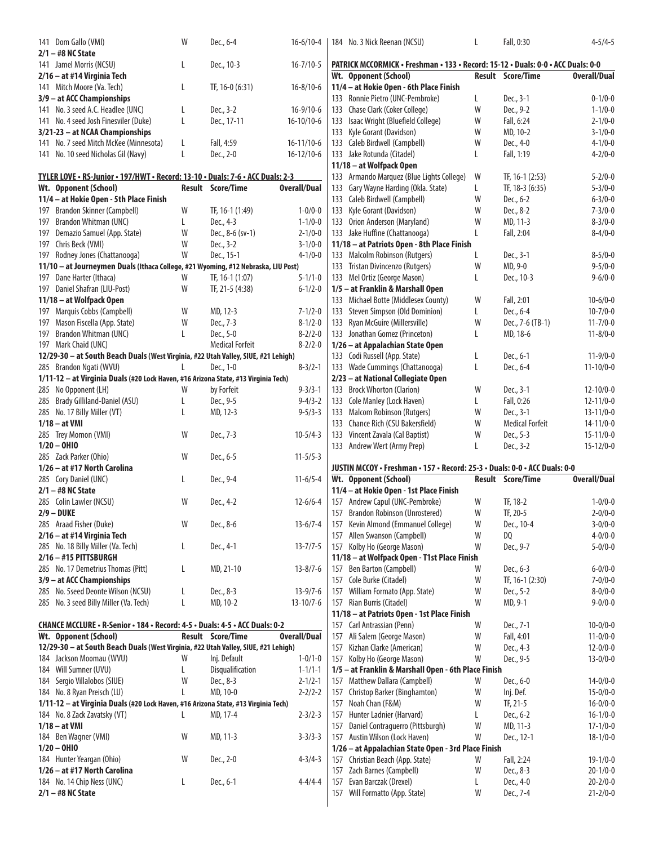| 141 Dom Gallo (VMI)                                                                | W            | Dec., 6-4                | $16 - 6/10 - 4$     |     | 184 No. 3 Nick Reenan (NCSU)                                                     | L      | Fall, 0:30               | $4 - 5/4 - 5$                    |
|------------------------------------------------------------------------------------|--------------|--------------------------|---------------------|-----|----------------------------------------------------------------------------------|--------|--------------------------|----------------------------------|
| $2/1 - #8$ NC State                                                                |              |                          |                     |     |                                                                                  |        |                          |                                  |
| 141 Jamel Morris (NCSU)                                                            | L            | Dec., 10-3               | $16 - 7/10 - 5$     |     | PATRICK MCCORMICK • Freshman • 133 • Record: 15-12 • Duals: 0-0 • ACC Duals: 0-0 |        |                          |                                  |
| 2/16 - at #14 Virginia Tech                                                        |              |                          |                     |     | Wt. Opponent (School)                                                            |        | <b>Result Score/Time</b> | <b>Overall/Dual</b>              |
| 141 Mitch Moore (Va. Tech)                                                         | L            | TF, 16-0 (6:31)          | $16 - 8/10 - 6$     |     | 11/4 - at Hokie Open - 6th Place Finish                                          |        |                          |                                  |
| 3/9 - at ACC Championships                                                         |              |                          |                     |     | 133 Ronnie Pietro (UNC-Pembroke)                                                 | L      | Dec., 3-1                | $0 - 1/0 - 0$                    |
| 141 No. 3 seed A.C. Headlee (UNC)                                                  | L            | Dec., 3-2                | $16-9/10-6$         |     | 133 Chase Clark (Coker College)                                                  | W      | Dec., 9-2                | $1 - 1/0 - 0$                    |
| 141 No. 4 seed Josh Finesviler (Duke)                                              | L            | Dec., 17-11              | $16-10/10-6$        |     | 133 Isaac Wright (Bluefield College)                                             | W      | Fall, 6:24               | $2 - 1/0 - 0$                    |
| 3/21-23 - at NCAA Championships                                                    |              |                          |                     |     | 133 Kyle Gorant (Davidson)                                                       | W      | MD, 10-2                 | $3 - 1/0 - 0$                    |
| 141 No. 7 seed Mitch McKee (Minnesota)                                             | L            | Fall, 4:59               | 16-11/10-6          |     | 133 Caleb Birdwell (Campbell)                                                    | W      | Dec., 4-0                | $4 - 1/0 - 0$                    |
| 141 No. 10 seed Nicholas Gil (Navy)                                                | L            | Dec., 2-0                | $16-12/10-6$        |     | 133 Jake Rotunda (Citadel)                                                       | L      | Fall, 1:19               | $4 - 2/0 - 0$                    |
|                                                                                    |              |                          |                     |     | 11/18 - at Wolfpack Open                                                         |        |                          |                                  |
| TYLER LOVE · RS-Junior · 197/HWT · Record: 13-10 · Duals: 7-6 · ACC Duals: 2-3     |              |                          |                     |     | 133 Armando Marquez (Blue Lights College)                                        | W      | TF, 16-1 (2:53)          | $5 - 2/0 - 0$                    |
| Wt. Opponent (School)                                                              |              | Result Score/Time        | <b>Overall/Dual</b> |     | 133 Gary Wayne Harding (Okla. State)                                             | L      | TF, 18-3 (6:35)          | $5 - 3/0 - 0$                    |
| 11/4 - at Hokie Open - 5th Place Finish                                            |              |                          |                     |     | 133 Caleb Birdwell (Campbell)                                                    | W      | Dec., 6-2                | $6 - 3/0 - 0$                    |
| 197 Brandon Skinner (Campbell)                                                     | W            | TF, 16-1 (1:49)          | $1 - 0/0 - 0$       |     | 133 Kyle Gorant (Davidson)                                                       | W      | Dec., 8-2                | $7 - 3/0 - 0$                    |
| 197 Brandon Whitman (UNC)                                                          | L            | Dec., 4-3                | $1 - 1/0 - 0$       |     | 133 Orion Anderson (Maryland)                                                    | W      | MD, 11-3                 | $8 - 3/0 - 0$                    |
| 197 Demazio Samuel (App. State)                                                    | W            | Dec., 8-6 (sv-1)         | $2 - 1/0 - 0$       |     | 133 Jake Huffine (Chattanooga)                                                   | L      | Fall, 2:04               | $8 - 4/0 - 0$                    |
| 197 Chris Beck (VMI)                                                               | W            | Dec., 3-2                | $3-1/0-0$           |     | 11/18 - at Patriots Open - 8th Place Finish                                      |        |                          |                                  |
| 197 Rodney Jones (Chattanooga)                                                     | W            | Dec., 15-1               | $4 - 1/0 - 0$       |     | 133 Malcolm Robinson (Rutgers)                                                   |        | Dec., 3-1                | $8 - 5/0 - 0$                    |
| 11/10 - at Journeymen Duals (Ithaca College, #21 Wyoming, #12 Nebraska, LIU Post)  |              |                          |                     |     | 133 Tristan Divincenzo (Rutgers)                                                 | W      | MD, 9-0                  | $9 - 5/0 - 0$                    |
| 197 Dane Harter (Ithaca)                                                           | W            | TF, 16-1 (1:07)          | $5 - 1/1 - 0$       |     | 133 Mel Ortiz (George Mason)                                                     | L      | Dec., 10-3               | $9 - 6/0 - 0$                    |
| 197 Daniel Shafran (LIU-Post)                                                      | W            | TF, 21-5 (4:38)          | $6 - 1/2 - 0$       |     | 1/5 - at Franklin & Marshall Open                                                |        |                          |                                  |
| 11/18 - at Wolfpack Open                                                           |              |                          |                     |     | 133 Michael Botte (Middlesex County)                                             | W      | Fall, 2:01               | $10 - 6/0 - 0$                   |
| 197 Marquis Cobbs (Campbell)                                                       | W            | MD, 12-3                 | $7 - 1/2 - 0$       |     | 133 Steven Simpson (Old Dominion)                                                | L.     | Dec., 6-4                | $10 - 7/0 - 0$                   |
| 197 Mason Fiscella (App. State)                                                    | W            | Dec., 7-3                | $8 - 1/2 - 0$       |     | 133 Ryan McGuire (Millersville)                                                  | W      | Dec., 7-6 (TB-1)         | $11 - 7/0 - 0$                   |
| 197 Brandon Whitman (UNC)                                                          | L            | Dec., 5-0                | $8 - 2/2 - 0$       |     | 133 Jonathan Gomez (Princeton)                                                   | L      | MD, 18-6                 | $11 - 8/0 - 0$                   |
| 197 Mark Chaid (UNC)                                                               |              | <b>Medical Forfeit</b>   | $8 - 2/2 - 0$       |     | 1/26 - at Appalachian State Open                                                 |        |                          |                                  |
| 12/29-30 - at South Beach Duals (West Virginia, #22 Utah Valley, SIUE, #21 Lehigh) |              |                          |                     |     | 133 Codi Russell (App. State)                                                    | L      | Dec., 6-1                | $11-9/0-0$                       |
| 285 Brandon Ngati (WVU)                                                            | $\mathsf{L}$ | Dec., 1-0                | $8 - 3/2 - 1$       |     | 133 Wade Cummings (Chattanooga)                                                  | L      | Dec., 6-4                | $11 - 10/0 - 0$                  |
| 1/11-12 - at Virginia Duals (#20 Lock Haven, #16 Arizona State, #13 Virginia Tech) |              |                          |                     |     | 2/23 - at National Collegiate Open                                               |        |                          |                                  |
| 285 No Opponent (LH)                                                               | W            | by Forfeit               | $9 - 3/3 - 1$       |     | 133 Brock Whorton (Clarion)                                                      | W      | Dec., 3-1                | $12 - 10/0 - 0$                  |
| 285 Brady Gilliland-Daniel (ASU)                                                   | L            | Dec., 9-5                | $9 - 4/3 - 2$       |     | 133 Cole Manley (Lock Haven)                                                     | L.     | Fall, 0:26               | $12 - 11/0 - 0$                  |
| 285 No. 17 Billy Miller (VT)                                                       | L            | MD, 12-3                 | $9 - 5/3 - 3$       |     | 133 Malcom Robinson (Rutgers)                                                    | W      | Dec., 3-1                | $13 - 11/0 - 0$                  |
| $1/18 - at$ VMI                                                                    |              |                          |                     |     | 133 Chance Rich (CSU Bakersfield)                                                | W      | <b>Medical Forfeit</b>   | $14 - 11/0 - 0$                  |
|                                                                                    |              |                          |                     |     |                                                                                  |        |                          |                                  |
| 285 Trey Momon (VMI)                                                               | W            | Dec., 7-3                | $10-5/4-3$          |     | 133 Vincent Zavala (Cal Baptist)                                                 | W      | Dec., 5-3                | $15 - 11/0 - 0$                  |
| $1/20 - 0H10$                                                                      |              |                          |                     |     | 133 Andrew Wert (Army Prep)                                                      | L      | Dec., 3-2                | $15 - 12/0 - 0$                  |
| 285 Zack Parker (Ohio)                                                             | W            | Dec., 6-5                | $11 - 5/5 - 3$      |     |                                                                                  |        |                          |                                  |
| 1/26 - at #17 North Carolina                                                       |              |                          |                     |     | JUSTIN MCCOY · Freshman · 157 · Record: 25-3 · Duals: 0-0 · ACC Duals: 0-0       |        |                          |                                  |
| 285 Cory Daniel (UNC)                                                              | L            | Dec., 9-4                | $11-6/5-4$          |     | Wt. Opponent (School)                                                            |        | <b>Result Score/Time</b> | <b>Overall/Dual</b>              |
| $2/1 - #8$ NC State                                                                |              |                          |                     |     | 11/4 - at Hokie Open - 1st Place Finish                                          |        |                          |                                  |
| 285 Colin Lawler (NCSU)                                                            | W            | Dec., 4-2                | $12 - 6/6 - 4$      |     | 157 Andrew Capul (UNC-Pembroke)                                                  | W      | TF, 18-2                 | $1 - 0/0 - 0$                    |
| $2/9 - DUKE$                                                                       |              |                          |                     |     |                                                                                  | W      | TF, 20-5                 | $2 - 0/0 - 0$                    |
| 285 Araad Fisher (Duke)                                                            | W            | Dec., 8-6                | $13-6/7-4$          |     | 157 Brandon Robinson (Unrostered)<br>157 Kevin Almond (Emmanuel College)         | W      | Dec., 10-4               | $3 - 0/0 - 0$                    |
| 2/16 - at #14 Virginia Tech                                                        |              |                          |                     |     | 157 Allen Swanson (Campbell)                                                     | W      | DQ                       | $4 - 0/0 - 0$                    |
| 285 No. 18 Billy Miller (Va. Tech)                                                 | L            | Dec., 4-1                | $13 - 7/7 - 5$      |     | 157 Kolby Ho (George Mason)                                                      | W      | Dec., 9-7                | $5 - 0/0 - 0$                    |
| 2/16 - #15 PITTSBURGH                                                              |              |                          |                     |     | 11/18 - at Wolfpack Open - T1st Place Finish                                     |        |                          |                                  |
| 285 No. 17 Demetrius Thomas (Pitt)                                                 | L            |                          | $13 - 8/7 - 6$      |     |                                                                                  | W      | Dec., 6-3                | $6 - 0/0 - 0$                    |
| 3/9 - at ACC Championships                                                         |              | MD, 21-10                |                     |     | 157 Ben Barton (Campbell)<br>157 Cole Burke (Citadel)                            | W      | TF, 16-1 (2:30)          | $7 - 0/0 - 0$                    |
| 285 No. 5seed Deonte Wilson (NCSU)                                                 | L            | Dec., 8-3                | $13 - 9/7 - 6$      |     |                                                                                  | W      | Dec., 5-2                | $8 - 0/0 - 0$                    |
|                                                                                    | L            | MD, 10-2                 | $13 - 10/7 - 6$     |     | 157 William Formato (App. State)<br>157 Rian Burris (Citadel)                    | W      | MD, 9-1                  | $9 - 0/0 - 0$                    |
| 285 No. 3 seed Billy Miller (Va. Tech)                                             |              |                          |                     |     |                                                                                  |        |                          |                                  |
|                                                                                    |              |                          |                     |     | 11/18 - at Patriots Open - 1st Place Finish<br>157 Carl Antrassian (Penn)        | W      |                          |                                  |
| CHANCE MCCLURE • R-Senior • 184 • Record: 4-5 • Duals: 4-5 • ACC Duals: 0-2        |              | <b>Result Score/Time</b> |                     | 157 |                                                                                  | W      | Dec., 7-1                | $10 - 0/0 - 0$                   |
| Wt. Opponent (School)                                                              |              |                          | <b>Overall/Dual</b> | 157 | Ali Salem (George Mason)                                                         | W      | Fall, 4:01               | $11 - 0/0 - 0$                   |
| 12/29-30 - at South Beach Duals (West Virginia, #22 Utah Valley, SIUE, #21 Lehigh) | W            |                          |                     |     | Kizhan Clarke (American)                                                         | W      | Dec., 4-3                | $12 - 0/0 - 0$                   |
| 184 Jackson Moomau (WVU)                                                           |              | Inj. Default             | $1 - 0/1 - 0$       |     | 157 Kolby Ho (George Mason)                                                      |        | Dec., 9-5                | $13 - 0/0 - 0$                   |
| 184 Will Sumner (UVU)                                                              | L<br>W       | Disqualification         | $1 - 1/1 - 1$       |     | 1/5 - at Franklin & Marshall Open - 6th Place Finish                             | W      |                          |                                  |
| 184 Sergio Villalobos (SIUE)                                                       | L            | Dec., 8-3                | $2 - 1/2 - 1$       |     | 157 Matthew Dallara (Campbell)                                                   |        | Dec., 6-0                | $14 - 0/0 - 0$                   |
| 184 No. 8 Ryan Preisch (LU)                                                        |              | MD, 10-0                 | $2 - 2/2 - 2$       |     | 157 Christop Barker (Binghamton)                                                 | W<br>W | Inj. Def.                | $15 - 0/0 - 0$                   |
| 1/11-12 - at Virginia Duals (#20 Lock Haven, #16 Arizona State, #13 Virginia Tech) |              |                          |                     |     | 157 Noah Chan (F&M)                                                              |        | TF, 21-5                 | $16 - 0/0 - 0$                   |
| 184 No. 8 Zack Zavatsky (VT)                                                       |              | MD, 17-4                 | $2 - 3/2 - 3$       | 157 | Hunter Ladnier (Harvard)                                                         | L      | Dec., 6-2                | $16-1/0-0$                       |
| $1/18 - at$ VMI                                                                    |              |                          |                     | 157 | Daniel Contraguerro (Pittsburgh)                                                 | W      | MD, 11-3                 | $17 - 1/0 - 0$                   |
| 184 Ben Wagner (VMI)                                                               | W            | MD, 11-3                 | $3 - 3/3 - 3$       |     | 157 Austin Wilson (Lock Haven)                                                   | W      | Dec., 12-1               | $18 - 1/0 - 0$                   |
| $1/20 - 0H10$                                                                      |              |                          |                     |     | 1/26 - at Appalachian State Open - 3rd Place Finish                              |        |                          |                                  |
| 184 Hunter Yeargan (Ohio)                                                          | W            | Dec., 2-0                | $4 - 3/4 - 3$       |     | 157 Christian Beach (App. State)                                                 | W      | Fall, 2:24               | $19 - 1/0 - 0$                   |
| 1/26 - at #17 North Carolina                                                       |              |                          |                     |     | 157 Zach Barnes (Campbell)                                                       | W      | Dec., 8-3                | $20 - 1/0 - 0$                   |
| 184 No. 14 Chip Ness (UNC)<br>$2/1 - #8$ NC State                                  | L            | Dec., 6-1                | $4 - 4/4 - 4$       | 157 | Evan Barczak (Drexel)<br>157 Will Formatto (App. State)                          | L<br>W | Dec., 4-0<br>Dec., 7-4   | $20 - 2/0 - 0$<br>$21 - 2/0 - 0$ |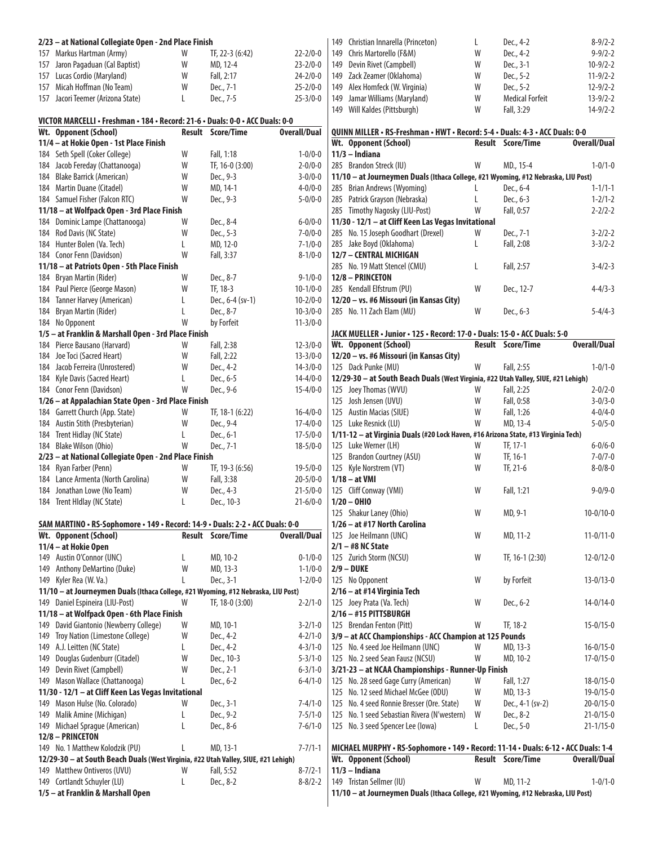| 2/23 - at National Collegiate Open - 2nd Place Finish                              |        |                          |                                  | 149 Christian Innarella (Princeton)                                                                   | L | Dec., 4-2                | $8 - 9/2 - 2$       |
|------------------------------------------------------------------------------------|--------|--------------------------|----------------------------------|-------------------------------------------------------------------------------------------------------|---|--------------------------|---------------------|
| 157 Markus Hartman (Army)                                                          | W      | TF, 22-3 (6:42)          | $22 - 2/0 - 0$                   | 149 Chris Martorello (F&M)                                                                            | W | Dec., 4-2                | $9 - 9/2 - 2$       |
| 157 Jaron Pagaduan (Cal Baptist)                                                   | W      | MD, 12-4                 | $23 - 2/0 - 0$                   | 149 Devin Rivet (Campbell)                                                                            | W | Dec., 3-1                | $10-9/2-2$          |
| 157 Lucas Cordio (Maryland)                                                        | W      | Fall, 2:17               | $24 - 2/0 - 0$                   | 149 Zack Zeamer (Oklahoma)                                                                            | W | Dec., 5-2                | $11-9/2-2$          |
| 157 Micah Hoffman (No Team)                                                        | W      | Dec., 7-1                | $25 - 2/0 - 0$                   | 149 Alex Homfeck (W. Virginia)                                                                        | W | Dec., 5-2                | $12 - 9/2 - 2$      |
| 157 Jacori Teemer (Arizona State)                                                  | L      | Dec., 7-5                | $25 - 3/0 - 0$                   | 149 Jamar Williams (Maryland)                                                                         | W | <b>Medical Forfeit</b>   | $13 - 9/2 - 2$      |
|                                                                                    |        |                          |                                  | 149 Will Kaldes (Pittsburgh)                                                                          | W | Fall, 3:29               | $14-9/2-2$          |
| VICTOR MARCELLI • Freshman • 184 • Record: 21-6 • Duals: 0-0 • ACC Duals: 0-0      |        | Result Score/Time        | <b>Overall/Dual</b>              |                                                                                                       |   |                          |                     |
| Wt. Opponent (School)<br>11/4 - at Hokie Open - 1st Place Finish                   |        |                          |                                  | QUINN MILLER . RS-Freshman . HWT . Record: 5-4 . Duals: 4-3 . ACC Duals: 0-0<br>Wt. Opponent (School) |   | Result Score/Time        | <b>Overall/Dual</b> |
| 184 Seth Spell (Coker College)                                                     | W      | Fall, 1:18               | $1 - 0/0 - 0$                    | $11/3$ - Indiana                                                                                      |   |                          |                     |
| 184 Jacob Fereday (Chattanooga)                                                    | W      | TF, 16-0 (3:00)          | $2 - 0/0 - 0$                    | 285 Brandon Streck (IU)                                                                               | W | MD., 15-4                | $1 - 0/1 - 0$       |
| 184 Blake Barrick (American)                                                       | W      | Dec., 9-3                | $3 - 0/0 - 0$                    | 11/10 - at Journeymen Duals (Ithaca College, #21 Wyoming, #12 Nebraska, LIU Post)                     |   |                          |                     |
| 184 Martin Duane (Citadel)                                                         | W      | MD, 14-1                 | $4 - 0/0 - 0$                    | 285 Brian Andrews (Wyoming)                                                                           | L | Dec., 6-4                | $1 - 1/1 - 1$       |
| 184 Samuel Fisher (Falcon RTC)                                                     | W      | Dec., 9-3                | $5 - 0/0 - 0$                    | 285 Patrick Grayson (Nebraska)                                                                        | L | Dec., 6-3                | $1 - 2/1 - 2$       |
| 11/18 - at Wolfpack Open - 3rd Place Finish                                        |        |                          |                                  | 285 Timothy Nagosky (LIU-Post)                                                                        | W | Fall, 0:57               | $2 - 2/2 - 2$       |
| 184 Dominic Lampe (Chattanooga)                                                    | W      | Dec., 8-4                | $6 - 0/0 - 0$                    | 11/30 - 12/1 - at Cliff Keen Las Vegas Invitational                                                   |   |                          |                     |
| 184 Rod Davis (NC State)                                                           | W      | Dec., 5-3                | $7 - 0/0 - 0$                    | 285 No. 15 Joseph Goodhart (Drexel)                                                                   | W | Dec., 7-1                | $3 - 2/2 - 2$       |
| 184 Hunter Bolen (Va. Tech)                                                        | L      | MD, 12-0                 | $7 - 1/0 - 0$                    | 285 Jake Boyd (Oklahoma)                                                                              | L | Fall, 2:08               | $3 - 3/2 - 2$       |
| 184 Conor Fenn (Davidson)                                                          | W      | Fall, 3:37               | $8 - 1/0 - 0$                    | 12/7 - CENTRAL MICHIGAN                                                                               |   |                          |                     |
| 11/18 - at Patriots Open - 5th Place Finish                                        |        |                          |                                  | 285 No. 19 Matt Stencel (CMU)                                                                         | L | Fall, 2:57               | $3-4/2-3$           |
| 184 Bryan Martin (Rider)                                                           | W      | Dec., 8-7                | $9 - 1/0 - 0$                    | 12/8 - PRINCETON                                                                                      |   |                          |                     |
| 184 Paul Pierce (George Mason)                                                     | W      | TF, 18-3                 | $10-1/0-0$                       | 285 Kendall Elfstrum (PU)                                                                             | W | Dec., 12-7               | $4 - 4/3 - 3$       |
| 184 Tanner Harvey (American)                                                       | L      | Dec., 6-4 (sv-1)         | $10 - 2/0 - 0$                   | 12/20 - vs. #6 Missouri (in Kansas City)                                                              |   |                          |                     |
| 184 Bryan Martin (Rider)                                                           |        | Dec., 8-7                | $10 - 3/0 - 0$                   | 285 No. 11 Zach Elam (MU)                                                                             | W | Dec., 6-3                | $5 - 4/4 - 3$       |
| 184 No Opponent                                                                    | W      | by Forfeit               | $11 - 3/0 - 0$                   |                                                                                                       |   |                          |                     |
| 1/5 - at Franklin & Marshall Open - 3rd Place Finish                               |        |                          |                                  | JACK MUELLER · Junior · 125 · Record: 17-0 · Duals: 15-0 · ACC Duals: 5-0                             |   |                          |                     |
| 184 Pierce Bausano (Harvard)                                                       | W      | Fall, 2:38               | $12 - 3/0 - 0$                   | Wt. Opponent (School)                                                                                 |   | <b>Result Score/Time</b> | <b>Overall/Dual</b> |
| 184 Joe Toci (Sacred Heart)<br>184 Jacob Ferreira (Unrostered)                     | W<br>W | Fall, 2:22<br>Dec., 4-2  | $13 - 3/0 - 0$<br>$14 - 3/0 - 0$ | 12/20 - vs. #6 Missouri (in Kansas City)<br>125 Dack Punke (MU)                                       | W | Fall, 2:55               | $1 - 0/1 - 0$       |
| 184 Kyle Davis (Sacred Heart)                                                      | L      | Dec., 6-5                | $14 - 4/0 - 0$                   | 12/29-30 - at South Beach Duals (West Virginia, #22 Utah Valley, SIUE, #21 Lehigh)                    |   |                          |                     |
| 184 Conor Fenn (Davidson)                                                          | W      | Dec., 9-6                | $15 - 4/0 - 0$                   | 125 Joey Thomas (WVU)                                                                                 | W | Fall, 2:25               | $2 - 0/2 - 0$       |
| 1/26 - at Appalachian State Open - 3rd Place Finish                                |        |                          |                                  | 125 Josh Jensen (UVU)                                                                                 | W | Fall, 0:58               | $3 - 0/3 - 0$       |
| 184 Garrett Church (App. State)                                                    | W      | TF, 18-1 (6:22)          | $16 - 4/0 - 0$                   | 125 Austin Macias (SIUE)                                                                              | W | Fall, 1:26               | $4 - 0/4 - 0$       |
| 184 Austin Stith (Presbyterian)                                                    | W      | Dec., 9-4                | $17 - 4/0 - 0$                   | 125 Luke Resnick (LU)                                                                                 | W | MD, 13-4                 | $5 - 0/5 - 0$       |
| 184 Trent Hidlay (NC State)                                                        | L      | Dec., 6-1                | $17 - 5/0 - 0$                   | 1/11-12 - at Virginia Duals (#20 Lock Haven, #16 Arizona State, #13 Virginia Tech)                    |   |                          |                     |
| 184 Blake Wilson (Ohio)                                                            | W      | Dec., 7-1                | $18 - 5/0 - 0$                   | 125 Luke Werner (LH)                                                                                  | W | TF, 17-1                 | $6 - 0/6 - 0$       |
| 2/23 - at National Collegiate Open - 2nd Place Finish                              |        |                          |                                  | 125 Brandon Courtney (ASU)                                                                            | W | TF, 16-1                 | $7 - 0/7 - 0$       |
| 184 Ryan Farber (Penn)                                                             | W      | TF, 19-3 (6:56)          | $19 - 5/0 - 0$                   | 125 Kyle Norstrem (VT)                                                                                | W | TF, 21-6                 | $8 - 0/8 - 0$       |
| 184 Lance Armenta (North Carolina)                                                 | W      | Fall, 3:38               | $20 - 5/0 - 0$                   | $1/18 - at$ VMI                                                                                       |   |                          |                     |
| 184 Jonathan Lowe (No Team)                                                        | W      | Dec., 4-3                | $21 - 5/0 - 0$                   | 125 Cliff Conway (VMI)                                                                                | W | Fall, 1:21               | $9 - 0/9 - 0$       |
| 184 Trent Hidlay (NC State)                                                        | L      | Dec., 10-3               | $21 - 6/0 - 0$                   | $1/20 - 0H10$                                                                                         |   |                          |                     |
|                                                                                    |        |                          |                                  | 125 Shakur Laney (Ohio)                                                                               | W | MD, 9-1                  | $10-0/10-0$         |
| SAM MARTINO · RS-Sophomore · 149 · Record: 14-9 · Duals: 2-2 · ACC Duals: 0-0      |        |                          |                                  | 1/26 - at #17 North Carolina                                                                          |   |                          |                     |
| Wt. Opponent (School)                                                              |        | <b>Result Score/Time</b> | <b>Overall/Dual</b>              | 125 Joe Heilmann (UNC)                                                                                | W | MD, 11-2                 | $11 - 0/11 - 0$     |
| 11/4 - at Hokie Open                                                               |        |                          |                                  | $2/1 - #8$ NC State                                                                                   |   |                          |                     |
| 149 Austin O'Connor (UNC)                                                          | L      | MD, 10-2                 | $0 - 1/0 - 0$                    | 125 Zurich Storm (NCSU)                                                                               | W | TF, 16-1 (2:30)          | $12 - 0/12 - 0$     |
| 149 Anthony DeMartino (Duke)                                                       | W      | MD, 13-3                 | $1 - 1/0 - 0$                    | $2/9 - DUKE$                                                                                          |   |                          |                     |
| 149 Kyler Rea (W. Va.)                                                             | L      | Dec., 3-1                | $1 - 2/0 - 0$                    | 125 No Opponent                                                                                       | W | by Forfeit               | $13 - 0/13 - 0$     |
| 11/10 - at Journeymen Duals (Ithaca College, #21 Wyoming, #12 Nebraska, LIU Post)  | W      | TF, 18-0 (3:00)          | $2 - 2/1 - 0$                    | 2/16 - at #14 Virginia Tech                                                                           | W | Dec., 6-2                | $14 - 0/14 - 0$     |
| 149 Daniel Espineira (LIU-Post)<br>11/18 - at Wolfpack Open - 6th Place Finish     |        |                          |                                  | 125 Joey Prata (Va. Tech)<br>$2/16 - #15$ PITTSBURGH                                                  |   |                          |                     |
| 149 David Giantonio (Newberry College)                                             | W      | MD, 10-1                 | $3 - 2/1 - 0$                    | 125 Brendan Fenton (Pitt)                                                                             | W | TF, 18-2                 | $15 - 0/15 - 0$     |
| 149 Troy Nation (Limestone College)                                                | W      | Dec., 4-2                | $4 - 2/1 - 0$                    | 3/9 - at ACC Championships - ACC Champion at 125 Pounds                                               |   |                          |                     |
| 149 A.J. Leitten (NC State)                                                        | L      | Dec., 4-2                | $4 - 3/1 - 0$                    | 125 No. 4 seed Joe Heilmann (UNC)                                                                     | W | MD, 13-3                 | $16 - 0/15 - 0$     |
| 149 Douglas Gudenburr (Citadel)                                                    | W      | Dec., 10-3               | $5 - 3/1 - 0$                    | 125 No. 2 seed Sean Fausz (NCSU)                                                                      | W | MD, 10-2                 | $17 - 0/15 - 0$     |
| 149 Devin Rivet (Campbell)                                                         | W      | Dec., 2-1                | $6 - 3/1 - 0$                    | 3/21-23 - at NCAA Championships - Runner-Up Finish                                                    |   |                          |                     |
| 149 Mason Wallace (Chattanooga)                                                    |        | Dec., 6-2                | $6 - 4/1 - 0$                    | 125 No. 28 seed Gage Curry (American)                                                                 | W | Fall, 1:27               | $18 - 0/15 - 0$     |
| 11/30 - 12/1 - at Cliff Keen Las Vegas Invitational                                |        |                          |                                  | 125 No. 12 seed Michael McGee (ODU)                                                                   | W | MD, 13-3                 | $19 - 0/15 - 0$     |
| 149 Mason Hulse (No. Colorado)                                                     | W      | Dec., 3-1                | $7 - 4/1 - 0$                    | 125 No. 4 seed Ronnie Bresser (Ore. State)                                                            | W | Dec., 4-1 (sv-2)         | $20 - 0/15 - 0$     |
| 149 Malik Amine (Michigan)                                                         | L      | Dec., 9-2                | $7 - 5/1 - 0$                    | 125 No. 1 seed Sebastian Rivera (N'western)                                                           | W | Dec., 8-2                | $21 - 0/15 - 0$     |
| 149 Michael Sprague (American)                                                     | L      | Dec., 8-6                | $7 - 6/1 - 0$                    | 125 No. 3 seed Spencer Lee (lowa)                                                                     | L | Dec., 5-0                | $21 - 1/15 - 0$     |
| 12/8 - PRINCETON                                                                   |        |                          |                                  |                                                                                                       |   |                          |                     |
| 149 No. 1 Matthew Kolodzik (PU)                                                    | L      | MD, 13-1                 | $7 - 7/1 - 1$                    | MICHAEL MURPHY • RS-Sophomore • 149 • Record: 11-14 • Duals: 6-12 • ACC Duals: 1-4                    |   |                          |                     |
| 12/29-30 - at South Beach Duals (West Virginia, #22 Utah Valley, SIUE, #21 Lehigh) |        |                          |                                  | Wt. Opponent (School)                                                                                 |   | <b>Result Score/Time</b> | <b>Overall/Dual</b> |
| 149 Matthew Ontiveros (UVU)                                                        | W      | Fall, 5:52               | $8 - 7/2 - 1$                    | $11/3$ - Indiana                                                                                      |   |                          |                     |
| 149 Cortlandt Schuyler (LU)                                                        | L      | Dec., 8-2                | $8 - 8/2 - 2$                    | 149 Tristan Sellmer (IU)                                                                              | W | MD, 11-2                 | $1 - 0/1 - 0$       |
| 1/5 - at Franklin & Marshall Open                                                  |        |                          |                                  | 11/10 - at Journeymen Duals (Ithaca College, #21 Wyoming, #12 Nebraska, LIU Post)                     |   |                          |                     |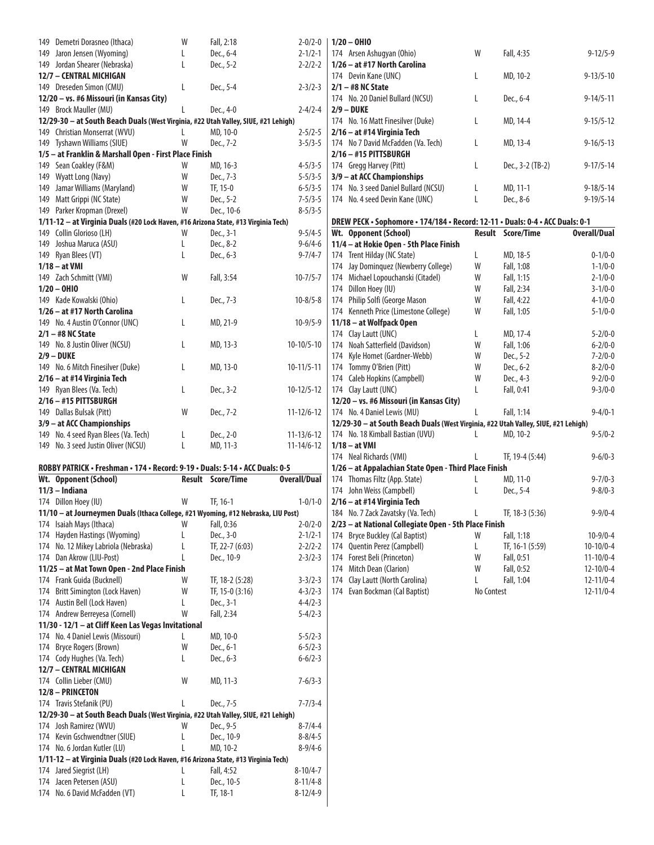| 149 | Demetri Dorasneo (Ithaca)                                                          | W | Fall, 2:18               | $2 - 0/2 - 0$       |     | $1/20 - 0$ HIO                                                                     |            |                   |                                  |
|-----|------------------------------------------------------------------------------------|---|--------------------------|---------------------|-----|------------------------------------------------------------------------------------|------------|-------------------|----------------------------------|
|     | 149 Jaron Jensen (Wyoming)                                                         | L | Dec., 6-4                | $2 - 1/2 - 1$       |     | 174 Arsen Ashugyan (Ohio)                                                          | W          | Fall, 4:35        | $9 - 12/5 - 9$                   |
|     |                                                                                    |   |                          |                     |     |                                                                                    |            |                   |                                  |
|     | 149 Jordan Shearer (Nebraska)                                                      | L | Dec., 5-2                | $2 - 2/2 - 2$       |     | 1/26 – at #17 North Carolina                                                       |            |                   |                                  |
|     | 12/7 - CENTRAL MICHIGAN                                                            |   |                          |                     |     | 174 Devin Kane (UNC)                                                               | L          | MD, 10-2          | $9 - 13/5 - 10$                  |
|     | 149 Dreseden Simon (CMU)                                                           | L | Dec., 5-4                | $2 - 3/2 - 3$       |     | $2/1 - #8$ NC State                                                                |            |                   |                                  |
|     | 12/20 - vs. #6 Missouri (in Kansas City)                                           |   |                          |                     |     | 174 No. 20 Daniel Bullard (NCSU)                                                   | L          | Dec., 6-4         | $9 - 14/5 - 11$                  |
|     | 149 Brock Mauller (MU)                                                             | L | Dec., 4-0                | $2 - 4/2 - 4$       |     | $2/9 - DUKE$                                                                       |            |                   |                                  |
|     |                                                                                    |   |                          |                     |     | 174 No. 16 Matt Finesilver (Duke)                                                  |            | MD, 14-4          | $9 - 15/5 - 12$                  |
|     | 12/29-30 - at South Beach Duals (West Virginia, #22 Utah Valley, SIUE, #21 Lehigh) |   |                          |                     |     |                                                                                    | L.         |                   |                                  |
|     | 149 Christian Monserrat (WVU)                                                      | L | MD, 10-0                 | $2 - 5/2 - 5$       |     | 2/16 - at #14 Virginia Tech                                                        |            |                   |                                  |
|     | 149 Tyshawn Williams (SIUE)                                                        | W | Dec., 7-2                | $3 - 5/3 - 5$       |     | 174 No 7 David McFadden (Va. Tech)                                                 | L          | MD, 13-4          | $9 - 16/5 - 13$                  |
|     | 1/5 - at Franklin & Marshall Open - First Place Finish                             |   |                          |                     |     | $2/16 - #15$ PITTSBURGH                                                            |            |                   |                                  |
|     | 149 Sean Coakley (F&M)                                                             | W | MD, 16-3                 | $4 - 5/3 - 5$       |     | 174 Gregg Harvey (Pitt)                                                            | L          | Dec., 3-2 (TB-2)  | $9 - 17/5 - 14$                  |
| 149 | Wyatt Long (Navy)                                                                  | W | Dec., 7-3                | $5 - 5/3 - 5$       |     | 3/9 - at ACC Championships                                                         |            |                   |                                  |
|     |                                                                                    |   |                          |                     |     |                                                                                    |            |                   |                                  |
|     | 149 Jamar Williams (Maryland)                                                      | W | TF, 15-0                 | $6 - 5/3 - 5$       |     | 174 No. 3 seed Daniel Bullard (NCSU)                                               | L          | MD, 11-1          | $9 - 18/5 - 14$                  |
| 149 | Matt Grippi (NC State)                                                             | W | Dec., 5-2                | $7 - 5/3 - 5$       |     | 174 No. 4 seed Devin Kane (UNC)                                                    | L          | Dec., 8-6         | $9 - 19/5 - 14$                  |
|     | 149 Parker Kropman (Drexel)                                                        | W | Dec., 10-6               | $8 - 5/3 - 5$       |     |                                                                                    |            |                   |                                  |
|     | 1/11-12 - at Virginia Duals (#20 Lock Haven, #16 Arizona State, #13 Virginia Tech) |   |                          |                     |     | DREW PECK · Sophomore · 174/184 · Record: 12-11 · Duals: 0-4 · ACC Duals: 0-1      |            |                   |                                  |
|     | 149 Collin Glorioso (LH)                                                           | W | Dec., 3-1                | $9 - 5/4 - 5$       |     | Wt. Opponent (School)                                                              | Result     | <b>Score/Time</b> | <b>Overall/Dual</b>              |
|     | Joshua Maruca (ASU)                                                                |   | Dec., 8-2                | $9 - 6/4 - 6$       |     | 11/4 - at Hokie Open - 5th Place Finish                                            |            |                   |                                  |
| 149 |                                                                                    | L |                          |                     |     |                                                                                    |            |                   |                                  |
|     | 149 Ryan Blees (VT)                                                                | L | Dec., 6-3                | $9 - 7/4 - 7$       |     | 174 Trent Hilday (NC State)                                                        | L          | MD, 18-5          | $0 - 1/0 - 0$                    |
|     | $1/18 - at$ VMI                                                                    |   |                          |                     |     | 174 Jay Dominquez (Newberry College)                                               | W          | Fall, 1:08        | $1 - 1/0 - 0$                    |
|     | 149 Zach Schmitt (VMI)                                                             | W | Fall, 3:54               | $10 - 7/5 - 7$      |     | 174 Michael Lopouchanski (Citadel)                                                 | W          | Fall, 1:15        | $2 - 1/0 - 0$                    |
|     | $1/20 - 0H10$                                                                      |   |                          |                     |     | 174 Dillon Hoey (IU)                                                               | W          | Fall, 2:34        | $3 - 1/0 - 0$                    |
|     | 149 Kade Kowalski (Ohio)                                                           | L | Dec., 7-3                | $10 - 8/5 - 8$      |     | 174 Philip Solfi (George Mason                                                     | W          | Fall, 4:22        | $4 - 1/0 - 0$                    |
|     |                                                                                    |   |                          |                     |     |                                                                                    |            |                   |                                  |
|     | 1/26 - at #17 North Carolina                                                       |   |                          |                     |     | 174 Kenneth Price (Limestone College)                                              | W          | Fall, 1:05        | $5 - 1/0 - 0$                    |
|     | 149 No. 4 Austin O'Connor (UNC)                                                    | L | MD, 21-9                 | $10-9/5-9$          |     | 11/18 - at Wolfpack Open                                                           |            |                   |                                  |
|     | $2/1 - #8$ NC State                                                                |   |                          |                     |     | 174 Clay Lautt (UNC)                                                               | L          | MD, 17-4          | $5 - 2/0 - 0$                    |
|     | 149 No. 8 Justin Oliver (NCSU)                                                     | L | MD, 13-3                 | $10-10/5-10$        |     | 174 Noah Satterfield (Davidson)                                                    | W          | Fall, 1:06        | $6 - 2/0 - 0$                    |
|     | $2/9 - DUKE$                                                                       |   |                          |                     |     | 174 Kyle Homet (Gardner-Webb)                                                      | W          | Dec., 5-2         | $7 - 2/0 - 0$                    |
|     |                                                                                    |   |                          |                     |     |                                                                                    |            |                   |                                  |
|     | 149 No. 6 Mitch Finesilver (Duke)                                                  | L | MD, 13-0                 | $10 - 11/5 - 11$    |     | 174 Tommy O'Brien (Pitt)                                                           | W          | Dec., 6-2         | $8 - 2/0 - 0$                    |
|     | 2/16 - at #14 Virginia Tech                                                        |   |                          |                     |     | 174 Caleb Hopkins (Campbell)                                                       | W          | Dec., 4-3         | $9 - 2/0 - 0$                    |
|     | 149 Ryan Blees (Va. Tech)                                                          | L | Dec., 3-2                | $10-12/5-12$        |     | 174 Clay Lautt (UNC)                                                               | L          | Fall, 0:41        | $9 - 3/0 - 0$                    |
|     | 2/16 - #15 PITTSBURGH                                                              |   |                          |                     |     | 12/20 - vs. #6 Missouri (in Kansas City)                                           |            |                   |                                  |
|     | 149 Dallas Bulsak (Pitt)                                                           | W | Dec., 7-2                | $11 - 12/6 - 12$    |     | 174 No. 4 Daniel Lewis (MU)                                                        |            | Fall, 1:14        | $9 - 4/0 - 1$                    |
|     |                                                                                    |   |                          |                     |     |                                                                                    |            |                   |                                  |
|     |                                                                                    |   |                          |                     |     |                                                                                    |            |                   |                                  |
|     | 3/9 - at ACC Championships                                                         |   |                          |                     |     | 12/29-30 - at South Beach Duals (West Virginia, #22 Utah Valley, SIUE, #21 Lehigh) |            |                   |                                  |
|     | 149 No. 4 seed Ryan Blees (Va. Tech)                                               | L | Dec., 2-0                | $11 - 13/6 - 12$    |     | 174 No. 18 Kimball Bastian (UVU)                                                   |            | MD, 10-2          | $9 - 5/0 - 2$                    |
|     | 149 No. 3 seed Justin Oliver (NCSU)                                                | L | MD, 11-3                 | $11 - 14/6 - 12$    |     | $1/18 - at$ VMI                                                                    |            |                   |                                  |
|     |                                                                                    |   |                          |                     |     |                                                                                    | L          | TF, 19-4 (5:44)   | $9 - 6/0 - 3$                    |
|     |                                                                                    |   |                          |                     |     | 174 Neal Richards (VMI)                                                            |            |                   |                                  |
|     | ROBBY PATRICK · Freshman · 174 · Record: 9-19 · Duals: 5-14 · ACC Duals: 0-5       |   |                          |                     |     | 1/26 - at Appalachian State Open - Third Place Finish                              |            |                   |                                  |
|     | Wt. Opponent (School)                                                              |   | <b>Result Score/Time</b> | <b>Overall/Dual</b> |     | 174 Thomas Filtz (App. State)                                                      | L          | MD, 11-0          | $9 - 7/0 - 3$                    |
|     | $11/3$ - Indiana                                                                   |   |                          |                     |     | 174 John Weiss (Campbell)                                                          | L          | Dec., 5-4         | $9 - 8/0 - 3$                    |
|     | 174 Dillon Hoey (IU)                                                               | W | TF, 16-1                 | $1 - 0/1 - 0$       |     | 2/16 - at #14 Virginia Tech                                                        |            |                   |                                  |
|     | 11/10 - at Journeymen Duals (Ithaca College, #21 Wyoming, #12 Nebraska, LIU Post)  |   |                          |                     |     |                                                                                    |            |                   |                                  |
|     |                                                                                    |   |                          |                     |     | 184 No. 7 Zack Zavatsky (Va. Tech)                                                 |            | TF, 18-3 (5:36)   |                                  |
|     | 174 Isaiah Mays (Ithaca)                                                           | W | Fall, 0:36               | $2 - 0/2 - 0$       |     | 2/23 - at National Collegiate Open - 5th Place Finish                              |            |                   |                                  |
|     | 174 Hayden Hastings (Wyoming)                                                      | L | Dec., 3-0                | $2 - 1/2 - 1$       | 174 | <b>Bryce Buckley (Cal Baptist)</b>                                                 | W          | Fall, 1:18        | $10-9/0-4$                       |
|     | 174 No. 12 Mikey Labriola (Nebraska)                                               | L | TF, 22-7 (6:03)          | $2 - 2/2 - 2$       |     | 174 Quentin Perez (Campbell)                                                       | L          | TF, 16-1 (5:59)   | $10-10/0-4$                      |
|     | 174 Dan Akrow (LIU-Post)                                                           | L | Dec., 10-9               | $2 - 3/2 - 3$       |     | 174 Forest Beli (Princeton)                                                        | W          | Fall, 0:51        | $11 - 10/0 - 4$                  |
|     | 11/25 - at Mat Town Open - 2nd Place Finish                                        |   |                          |                     |     | 174 Mitch Dean (Clarion)                                                           | W          | Fall, 0:52        | $12 - 10/0 - 4$                  |
|     | 174 Frank Guida (Bucknell)                                                         | W | TF, 18-2 (5:28)          | $3 - 3/2 - 3$       | 174 | Clay Lautt (North Carolina)                                                        | L          | Fall, 1:04        | $9 - 9/0 - 4$<br>$12 - 11/0 - 4$ |
|     |                                                                                    | W |                          |                     |     |                                                                                    |            |                   |                                  |
|     | 174 Britt Simington (Lock Haven)                                                   |   | TF, 15-0 (3:16)          | $4 - 3/2 - 3$       |     | 174 Evan Bockman (Cal Baptist)                                                     | No Contest |                   | $12 - 11/0 - 4$                  |
|     | 174 Austin Bell (Lock Haven)                                                       | L | Dec., 3-1                | $4 - 4/2 - 3$       |     |                                                                                    |            |                   |                                  |
|     | 174 Andrew Berreyesa (Cornell)                                                     | W | Fall, 2:34               | $5 - 4/2 - 3$       |     |                                                                                    |            |                   |                                  |
|     | 11/30 - 12/1 - at Cliff Keen Las Vegas Invitational                                |   |                          |                     |     |                                                                                    |            |                   |                                  |
|     | 174 No. 4 Daniel Lewis (Missouri)                                                  | L | MD, 10-0                 | $5 - 5/2 - 3$       |     |                                                                                    |            |                   |                                  |
|     |                                                                                    |   |                          |                     |     |                                                                                    |            |                   |                                  |
|     | 174 Bryce Rogers (Brown)                                                           | W | Dec., 6-1                | $6 - 5/2 - 3$       |     |                                                                                    |            |                   |                                  |
|     | 174 Cody Hughes (Va. Tech)                                                         | L | Dec., 6-3                | $6 - 6/2 - 3$       |     |                                                                                    |            |                   |                                  |
|     | 12/7 - CENTRAL MICHIGAN                                                            |   |                          |                     |     |                                                                                    |            |                   |                                  |
|     | 174 Collin Lieber (CMU)                                                            | W | MD, 11-3                 | $7 - 6/3 - 3$       |     |                                                                                    |            |                   |                                  |
|     | 12/8 - PRINCETON                                                                   |   |                          |                     |     |                                                                                    |            |                   |                                  |
|     | 174 Travis Stefanik (PU)                                                           | L | Dec., 7-5                | $7 - 7/3 - 4$       |     |                                                                                    |            |                   |                                  |
|     |                                                                                    |   |                          |                     |     |                                                                                    |            |                   |                                  |
|     | 12/29-30 - at South Beach Duals (West Virginia, #22 Utah Valley, SIUE, #21 Lehigh) |   |                          |                     |     |                                                                                    |            |                   |                                  |
|     | 174 Josh Ramirez (WVU)                                                             | W | Dec., 9-5                | $8 - 7/4 - 4$       |     |                                                                                    |            |                   |                                  |
|     | 174 Kevin Gschwendtner (SIUE)                                                      | L | Dec., 10-9               | $8 - 8/4 - 5$       |     |                                                                                    |            |                   |                                  |
|     | 174 No. 6 Jordan Kutler (LU)                                                       | L | MD, 10-2                 | $8 - 9/4 - 6$       |     |                                                                                    |            |                   |                                  |
|     | 1/11-12 - at Virginia Duals (#20 Lock Haven, #16 Arizona State, #13 Virginia Tech) |   |                          |                     |     |                                                                                    |            |                   |                                  |
|     | 174 Jared Siegrist (LH)                                                            | L | Fall, 4:52               | $8-10/4-7$          |     |                                                                                    |            |                   |                                  |
|     |                                                                                    |   |                          |                     |     |                                                                                    |            |                   |                                  |
|     | 174 Jacen Petersen (ASU)                                                           |   | Dec., 10-5               | $8 - 11/4 - 8$      |     |                                                                                    |            |                   |                                  |
|     | 174 No. 6 David McFadden (VT)                                                      | L | TF, 18-1                 | $8-12/4-9$          |     |                                                                                    |            |                   |                                  |